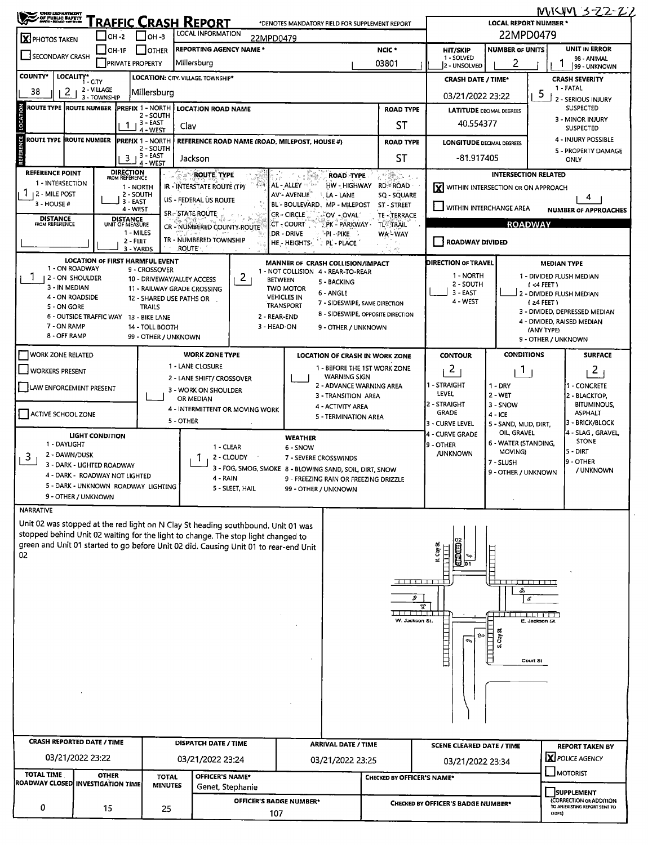| <b>CHOO DEPARTMENT<br/>/ OF PUBLIC BAFETY</b><br>/ www.cross-fireform                                                                                                  |                                        |                                                |                                             | Traffic Crash Report                   |                 | *DENOTES MANDATORY FIELD FOR SUPPLEMENT REPORT                                                   |                                   |                                             | <b>LOCAL REPORT NUMBER *</b>    | <u>INVISITY 3-22-22</u>                                  |
|------------------------------------------------------------------------------------------------------------------------------------------------------------------------|----------------------------------------|------------------------------------------------|---------------------------------------------|----------------------------------------|-----------------|--------------------------------------------------------------------------------------------------|-----------------------------------|---------------------------------------------|---------------------------------|----------------------------------------------------------|
| X PHOTOS TAKEN                                                                                                                                                         |                                        | $I$ OH -2                                      | Iон -з                                      | LOCAL INFORMATION                      | 22MPD0479       |                                                                                                  |                                   |                                             | 22MPD0479                       |                                                          |
|                                                                                                                                                                        |                                        | OH-1P                                          | <b>LOTHER</b>                               | <b>REPORTING AGENCY NAME *</b>         |                 |                                                                                                  | NCIC <sup>*</sup>                 | <b>HIT/SKIP</b>                             | <b>NUMBER OF UNITS</b>          | <b>UNIT IN ERROR</b>                                     |
| SECONDARY CRASH                                                                                                                                                        |                                        | <b>PRIVATE PROPERTY</b>                        |                                             | Millersburg                            |                 |                                                                                                  | 03801                             | 1 - SOLVED<br>2 - UNSOLVED                  | 2                               | 98 - ANIMAL<br>99 - UNKNOWN                              |
| <b>COUNTY*</b><br>LOCALITY*                                                                                                                                            | i - cm                                 |                                                |                                             | LOCATION: CITY. VILLAGE. TOWNSHIP*     |                 |                                                                                                  |                                   | <b>CRASH DATE / TIME*</b>                   |                                 | <b>CRASH SEVERITY</b><br>1 - FATAL                       |
| 38<br>2                                                                                                                                                                | 2 - VILLAGE<br>3 - TOWNSHIP            |                                                | Millersburg                                 |                                        |                 |                                                                                                  |                                   | 03/21/2022 23:22                            |                                 | -5<br><b>2 - SERIOUS INJURY</b>                          |
| ROUTE TYPE  ROUTE NUMBER                                                                                                                                               |                                        |                                                | <b>PREFIX 1 - NORTH</b><br>2 - SOUTH        | <b>LOCATION ROAD NAME</b>              |                 |                                                                                                  | <b>ROAD TYPE</b>                  | <b>LATITUDE DECIMAL DEGREES</b>             |                                 | <b>SUSPECTED</b>                                         |
| LOCATION                                                                                                                                                               |                                        | 1                                              | 3 - EAST<br>4 - WEST                        | Clav                                   |                 |                                                                                                  | ST                                | 40.554377                                   |                                 | 3 - MINOR INJURY<br><b>SUSPECTED</b>                     |
| NCE <sub></sub><br>ROUTE TYPE ROUTE NUMBER                                                                                                                             |                                        |                                                | <b>PREFIX 1 - NORTH</b>                     |                                        |                 | REFERENCE ROAD NAME (ROAD, MILEPOST, HOUSE #)                                                    | <b>ROAD TYPE</b>                  | <b>LONGITUDE DECIMAL DEGREES</b>            |                                 | 4 - INJURY POSSIBLE                                      |
|                                                                                                                                                                        |                                        | 3                                              | 2 - SOUTH<br>3 - EAST<br>4 - WEST           | Jackson                                |                 |                                                                                                  | SΤ                                | -81.917405                                  |                                 | 5 - PROPERTY DAMAGE<br>ONLY                              |
| <b>REFERENCE POINT</b>                                                                                                                                                 |                                        | <b>DIRECTION</b><br>FROM REFERENCE             |                                             | <b>ROUTE TYPE</b>                      |                 | <b>ROAD TYPE</b>                                                                                 | 千葉さん (                            |                                             | <b>INTERSECTION RELATED</b>     |                                                          |
| 1 - INTERSECTION<br>T.<br>  2 - MILE POST                                                                                                                              |                                        | 1 - NORTH                                      |                                             | <b>IR - INTERSTATE ROUTE (TP)</b>      |                 | AL - ALLEY<br>HW - HIGHWAY                                                                       | <b>RD≅ROAD</b>                    | <b>Y</b> WITHIN INTERSECTION OR ON APPROACH |                                 |                                                          |
| 3 - HOUSE #                                                                                                                                                            |                                        | 2 - SOUTH<br>3 - EAST                          |                                             | US - FEDERAL US ROUTE                  |                 | AV'- AVENUE <sup>®</sup><br><b>LA - LANE</b><br>BL - BOULEVARD, MP - MILEPOST                    | SQ - SQUARE<br>ST - STREET        | WITHIN INTERCHANGE AREA                     |                                 | 4                                                        |
| <b>DISTANCE</b><br>FROM REFERENCE                                                                                                                                      |                                        | 4 - WEST<br><b>DISTANCE</b><br>UNIT OF MEASURE |                                             | <b>SR-STATE ROUTE</b>                  |                 | <b>CR - CIRCLE</b><br>OV - OVAL                                                                  | TE TERRACE                        |                                             |                                 | <b>NUMBER OF APPROACHES</b>                              |
|                                                                                                                                                                        |                                        | 1 - MILES                                      |                                             | CR - NUMBERED COUNTY-ROUTE             |                 | CT - COURT<br>: PK - PARKWAY -<br>DR - DRIVE<br>®PI → PIKE                                       | <b>TLE TRAIL</b><br>WA-WAY        |                                             | <b>ROADWAY</b>                  |                                                          |
|                                                                                                                                                                        |                                        | 2 - FEET<br>3 - YARDS                          |                                             | TR - NUMBERED TOWNSHIP<br><b>ROUTE</b> |                 | HE - HEIGHTS-<br>: PL - PLACE.                                                                   |                                   | <b>ROADWAY DIVIDED</b>                      |                                 |                                                          |
|                                                                                                                                                                        |                                        |                                                | <b>LOCATION OF FIRST HARMFUL EVENT</b>      |                                        |                 | MANNER OF CRASH COLLISION/IMPACT                                                                 |                                   | <b>DIRECTION OF TRAVEL</b>                  |                                 | <b>MEDIAN TYPE</b>                                       |
| I.                                                                                                                                                                     | 1 - ON ROADWAY<br>2 - ON SHOULDER      |                                                | 9 - CROSSOVER<br>10 - DRIVEWAY/ALLEY ACCESS |                                        | $\mathbf{2}$    | 1 - NOT COLLISION 4 - REAR-TO-REAR<br><b>BETWEEN</b>                                             |                                   | 1 - NORTH                                   |                                 | 1 - DIVIDED FLUSH MEDIAN                                 |
| 3 - IN MEDIAN                                                                                                                                                          |                                        |                                                |                                             | 11 - RAILWAY GRADE CROSSING            |                 | 5 - BACKING<br><b>TWO MOTOR</b>                                                                  |                                   | 2 - SOUTH                                   |                                 | $($ <4 FEET $)$                                          |
| 4 - ON ROADSIDE                                                                                                                                                        |                                        |                                                | 12 - SHARED USE PATHS OR                    |                                        |                 | 6 - ANGLE<br><b>VEHICLES IN</b><br>7 - SIDESWIPE, SAME DIRECTION                                 |                                   | 3 - EAST<br>4 - WEST                        |                                 | 2 - DIVIDED FLUSH MEDIAN<br>$(24$ FEET)                  |
| <b>S-ON GORE</b>                                                                                                                                                       | 6 - OUTSIDE TRAFFIC WAY 13 - BIKE LANE |                                                | <b>TRAILS</b>                               |                                        |                 | <b>TRANSPORT</b><br>8 - SIDESWIPE, OPPOSITE DIRECTION<br>2 - REAR-END                            |                                   |                                             |                                 | 3 - DIVIDED, DEPRESSED MEDIAN                            |
| 7 - ON RAMP                                                                                                                                                            |                                        |                                                | 14 - TOLL BOOTH                             |                                        |                 | 3 - HEAD-ON<br>9 - OTHER / UNKNOWN                                                               |                                   |                                             |                                 | 4 - DIVIDED, RAISED MEDIAN<br>(ANY TYPE)                 |
| 8 - OFF RAMP                                                                                                                                                           |                                        |                                                | 99 - OTHER / UNKNOWN                        |                                        |                 |                                                                                                  |                                   |                                             |                                 | 9 - OTHER / UNKNOWN                                      |
| <b>WORK ZONE RELATED</b>                                                                                                                                               |                                        |                                                |                                             | <b>WORK ZONE TYPE</b>                  |                 | <b>LOCATION OF CRASH IN WORK ZONE</b>                                                            |                                   | <b>CONTOUR</b>                              | <b>CONDITIONS</b>               | <b>SURFACE</b>                                           |
| <b>WORKERS PRESENT</b>                                                                                                                                                 |                                        |                                                |                                             | 1 - LANE CLOSURE                       |                 | 1 - BEFORE THE 1ST WORK ZONE                                                                     |                                   | 2                                           | $\mathbf{L}$                    | 2                                                        |
| LAW ENFORCEMENT PRESENT                                                                                                                                                |                                        |                                                |                                             | 2 - LANE SHIFT/ CROSSOVER              |                 | <b>WARNING SIGN</b><br>2 - ADVANCE WARNING AREA                                                  |                                   | 1 - STRAIGHT                                | $1 - DRY$                       | 1 - CONCRETE                                             |
|                                                                                                                                                                        |                                        |                                                |                                             | 3 - WORK ON SHOULDER<br>OR MEDIAN      |                 | 3 - TRANSITION AREA                                                                              |                                   | LEVEL.                                      | $2 - WET$                       | 2 - BLACKTOP,                                            |
| <b>ACTIVE SCHOOL ZONE</b>                                                                                                                                              |                                        |                                                |                                             | 4 - INTERMITTENT OR MOVING WORK        |                 | 4 - ACTIVITY AREA                                                                                |                                   | 2 - STRAIGHT<br><b>GRADE</b>                | 3 - SNOW<br>$4 - ICE$           | <b>BITUMINOUS,</b><br><b>ASPHALT</b>                     |
|                                                                                                                                                                        |                                        |                                                |                                             | 5 - OTHER                              |                 | 5 - TERMINATION AREA                                                                             |                                   | 3 - CURVE LEVEL                             | 5 - SAND, MUD, DIRT,            | 3 - BRICK/BLOCK                                          |
|                                                                                                                                                                        | <b>LIGHT CONDITION</b>                 |                                                |                                             |                                        |                 | <b>WEATHER</b>                                                                                   |                                   | 4 - CURVE GRADE                             | OIL, GRAVEL                     | 4 - SLAG, GRAVEL<br><b>STONE</b>                         |
| 1 - DAYLIGHT<br>2 - DAWN/DUSK                                                                                                                                          |                                        |                                                |                                             | 1 - CLEAR                              |                 | 6 - SNOW                                                                                         |                                   | 9 - OTHER<br><b>/UNKNOWN</b>                | 6 - WATER (STANDING,<br>MOVING) | 5 - DIRT                                                 |
| 3                                                                                                                                                                      | 3 - DARK - LIGHTED ROADWAY             |                                                |                                             |                                        | 2 - CLOUDY      | 7 - SEVERE CROSSWINDS                                                                            |                                   |                                             | 7 - SLUSH                       | 9 - OTHER                                                |
|                                                                                                                                                                        | 4 - DARK - ROADWAY NOT LIGHTED         |                                                |                                             | 4 - RAIN                               |                 | 3 - FOG, SMOG, SMOKE 8 - BLOWING SAND, SOIL, DIRT, SNOW<br>9 - FREEZING RAIN OR FREEZING DRIZZLE |                                   |                                             | 9 - OTHER / UNKNOWN             | / UNKNOWN                                                |
|                                                                                                                                                                        | 5 - DARK - UNKNOWN ROADWAY LIGHTING    |                                                |                                             |                                        | 5 - SLEET, HAIL | 99 - OTHER / UNKNOWN                                                                             |                                   |                                             |                                 |                                                          |
|                                                                                                                                                                        | 9 - OTHER / UNKNOWN                    |                                                |                                             |                                        |                 |                                                                                                  |                                   |                                             |                                 |                                                          |
| <b>NARRATIVE</b>                                                                                                                                                       |                                        |                                                |                                             |                                        |                 |                                                                                                  |                                   |                                             |                                 |                                                          |
| Unit 02 was stopped at the red light on N Clay St heading southbound. Unit 01 was<br>stopped behind Unit 02 waiting for the light to change. The stop light changed to |                                        |                                                |                                             |                                        |                 |                                                                                                  |                                   |                                             |                                 |                                                          |
| green and Unit 01 started to go before Unit 02 did. Causing Unit 01 to rear-end Unit                                                                                   |                                        |                                                |                                             |                                        |                 |                                                                                                  |                                   | N. Clay St                                  |                                 |                                                          |
| 02.                                                                                                                                                                    |                                        |                                                |                                             |                                        |                 |                                                                                                  |                                   |                                             |                                 |                                                          |
|                                                                                                                                                                        |                                        |                                                |                                             |                                        |                 |                                                                                                  |                                   |                                             |                                 |                                                          |
|                                                                                                                                                                        |                                        |                                                |                                             |                                        |                 |                                                                                                  | <u> 2008 - 200</u>                |                                             | da na tina na mat<br>æ,         |                                                          |
|                                                                                                                                                                        |                                        |                                                |                                             |                                        |                 |                                                                                                  | v                                 |                                             | $\mathcal C$                    |                                                          |
|                                                                                                                                                                        |                                        |                                                |                                             |                                        |                 |                                                                                                  | أمانيتي تسميط                     | Æ,                                          | وأهان وجروان أويرون             |                                                          |
|                                                                                                                                                                        |                                        |                                                |                                             |                                        |                 |                                                                                                  | W. Jackson St.                    |                                             |                                 | E. Jackson St.                                           |
|                                                                                                                                                                        |                                        |                                                |                                             |                                        |                 |                                                                                                  |                                   | 蝕<br>€                                      | ਭੌ                              |                                                          |
|                                                                                                                                                                        |                                        |                                                |                                             |                                        |                 |                                                                                                  |                                   | E                                           |                                 |                                                          |
|                                                                                                                                                                        |                                        |                                                |                                             |                                        |                 |                                                                                                  |                                   |                                             |                                 | Court St                                                 |
|                                                                                                                                                                        |                                        |                                                |                                             |                                        |                 |                                                                                                  |                                   |                                             |                                 |                                                          |
|                                                                                                                                                                        |                                        |                                                |                                             |                                        |                 |                                                                                                  |                                   |                                             |                                 |                                                          |
|                                                                                                                                                                        |                                        |                                                |                                             |                                        |                 |                                                                                                  |                                   |                                             |                                 |                                                          |
|                                                                                                                                                                        |                                        |                                                |                                             |                                        |                 |                                                                                                  |                                   |                                             |                                 |                                                          |
| <b>CRASH REPORTED DATE / TIME</b>                                                                                                                                      |                                        |                                                |                                             | <b>DISPATCH DATE / TIME</b>            |                 | <b>ARRIVAL DATE / TIME</b>                                                                       |                                   | <b>SCENE CLEARED DATE / TIME</b>            |                                 | <b>REPORT TAKEN BY</b>                                   |
|                                                                                                                                                                        | 03/21/2022 23:22                       |                                                |                                             | 03/21/2022 23:24                       |                 | 03/21/2022 23:25                                                                                 |                                   | 03/21/2022 23:34                            |                                 | X POLICE AGENCY                                          |
| <b>TOTAL TIME</b>                                                                                                                                                      | <b>OTHER</b>                           |                                                | <b>TOTAL</b>                                | OFFICER'S NAME*                        |                 |                                                                                                  | <b>CHECKED BY OFFICER'S NAME*</b> |                                             |                                 | <b>J</b> MOTORIST                                        |
| <b>ROADWAY CLOSED INVESTIGATION TIME</b>                                                                                                                               |                                        |                                                | <b>MINUTES</b>                              | Genet, Stephanie                       |                 |                                                                                                  |                                   |                                             |                                 |                                                          |
|                                                                                                                                                                        |                                        |                                                |                                             |                                        |                 |                                                                                                  |                                   |                                             |                                 | <b>SUPPLEMENT</b>                                        |
| 0                                                                                                                                                                      | 15                                     |                                                | 25                                          |                                        |                 | OFFICER'S BADGE NUMBER*                                                                          |                                   | <b>CHECKED BY OFFICER'S BADGE NUMBER*</b>   |                                 | (CORRECTION OR ADDITION<br>TO AN EXISTING REPORT SENT TO |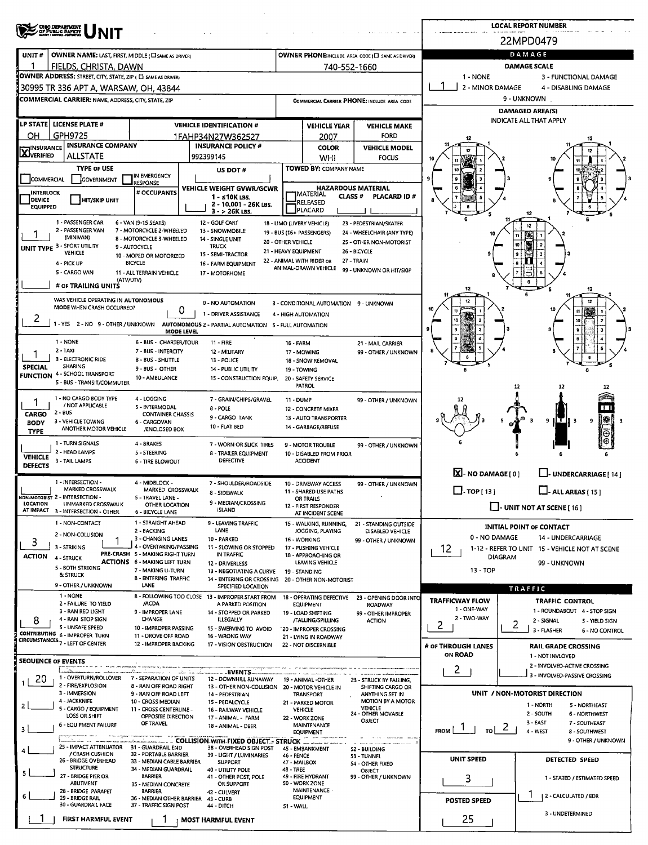|                                                      |                                                                                                                                                             |                                                                                                                                                                                     |                                                                                                                                        |                                            |                                                                                                              |                                                                                                                                           |                                                  | <b>LOCAL REPORT NUMBER</b>                               |                                                                                                                    |
|------------------------------------------------------|-------------------------------------------------------------------------------------------------------------------------------------------------------------|-------------------------------------------------------------------------------------------------------------------------------------------------------------------------------------|----------------------------------------------------------------------------------------------------------------------------------------|--------------------------------------------|--------------------------------------------------------------------------------------------------------------|-------------------------------------------------------------------------------------------------------------------------------------------|--------------------------------------------------|----------------------------------------------------------|--------------------------------------------------------------------------------------------------------------------|
|                                                      | OHO DEPARTMENT<br>OF PUBLIC BAFETT                                                                                                                          |                                                                                                                                                                                     |                                                                                                                                        |                                            |                                                                                                              |                                                                                                                                           |                                                  | 22MPD0479                                                |                                                                                                                    |
| UNIT#                                                | OWNER NAME: LAST, FIRST, MIDDLE ( C SAME AS DRIVER)                                                                                                         |                                                                                                                                                                                     |                                                                                                                                        |                                            |                                                                                                              | OWNER PHONE:INCLUDE AREA CODE (I SAME AS DRIVER)                                                                                          |                                                  | DAMAGE                                                   |                                                                                                                    |
|                                                      | FIELDS, CHRISTA, DAWN<br>OWNER ADDRESS: STREET, CITY, STATE, ZIP ( C) SAME AS DRIVER)                                                                       |                                                                                                                                                                                     |                                                                                                                                        |                                            | 740-552-1660                                                                                                 |                                                                                                                                           | 1 - NONE                                         | <b>DAMAGE SCALE</b>                                      | 3 - FUNCTIONAL DAMAGE                                                                                              |
|                                                      | 30995 TR 336 APT A, WARSAW, OH, 43844                                                                                                                       |                                                                                                                                                                                     |                                                                                                                                        |                                            |                                                                                                              |                                                                                                                                           | 2 - MINOR DAMAGE                                 |                                                          | 4 - DISABLING DAMAGE                                                                                               |
|                                                      | <b>COMMERCIAL CARRIER: NAME, ADDRESS, CITY, STATE, ZIP</b>                                                                                                  |                                                                                                                                                                                     |                                                                                                                                        |                                            |                                                                                                              | COMMERCIAL CARRIER PHONE: INCLUDE AREA CODE                                                                                               |                                                  | 9 - UNKNOWN                                              |                                                                                                                    |
|                                                      | LP STATE   LICENSE PLATE #                                                                                                                                  |                                                                                                                                                                                     |                                                                                                                                        |                                            |                                                                                                              |                                                                                                                                           |                                                  | <b>DAMAGED AREA(S)</b><br><b>INDICATE ALL THAT APPLY</b> |                                                                                                                    |
| OН                                                   | GPH9725                                                                                                                                                     |                                                                                                                                                                                     | <b>VEHICLE IDENTIFICATION #</b><br>1FAHP34N27W362527                                                                                   |                                            | <b>VEHICLE YEAR</b><br>2007                                                                                  | <b>VEHICLE MAKE</b><br><b>FORD</b>                                                                                                        |                                                  |                                                          |                                                                                                                    |
| <b>X</b> INSURANCE                                   | <b>INSURANCE COMPANY</b>                                                                                                                                    |                                                                                                                                                                                     | <b>INSURANCE POLICY #</b>                                                                                                              |                                            | <b>COLOR</b>                                                                                                 | <b>VEHICLE MODEL</b>                                                                                                                      |                                                  |                                                          |                                                                                                                    |
|                                                      | <b>ALLSTATE</b><br><b>TYPE OF USE</b>                                                                                                                       |                                                                                                                                                                                     | 992399145<br>US DOT#                                                                                                                   |                                            | WHI<br>TOWED BY: COMPANY NAME                                                                                | <b>FOCUS</b>                                                                                                                              | 10                                               |                                                          |                                                                                                                    |
| <b>COMMERCIAL</b>                                    | GOVERNMENT                                                                                                                                                  | IN EMERGENCY<br>RESPONSE                                                                                                                                                            |                                                                                                                                        |                                            |                                                                                                              |                                                                                                                                           |                                                  |                                                          |                                                                                                                    |
| <b>INTERLOCK</b><br><b>DEVICE</b><br><b>EQUIPPED</b> | <b>HIT/SKIP UNIT</b>                                                                                                                                        | # OCCUPANTS                                                                                                                                                                         | VEHICLE WEIGHT GVWR/GCWR<br>1 - ≤10K LBS.<br>2 - 10.001 - 26K LBS.<br>3 - > 26K LBS.                                                   |                                            | MATERIAL <br>RELEASED<br>PLACARD                                                                             | <b>HAZARDOUS MATERIAL</b><br><b>CLASS#</b><br><b>PLACARD ID#</b>                                                                          |                                                  |                                                          |                                                                                                                    |
|                                                      | 1 - PASSENGER CAR<br>2 - PASSENGER VAN<br>(MINIVAN)<br>UNIT TYPE 3 - SPORT UTILITY<br><b>VEHICLE</b><br>4 - PICK UP<br>5 - CARGO VAN<br># OF TRAILING UNITS | 6 - VAN (9-15 SEATS)<br>7 - MOTORCYCLE 2-WHEELED<br>8 - MOTORCYCLE 3-WHEELED<br>9 - AUTOCYCLE<br>10 - MOPED OR MOTORIZED<br><b>BICYCLE</b><br>11 - ALL TERRAIN VEHICLE<br>(ATV/UTV) | 12 - GOLF CART<br>13 - SNOWMOBILE<br>14 - SINGLE UNIT<br><b>TRUCK</b><br>15 - SEMI-TRACTOR<br>16 - FARM EQUIPMENT<br>17 - MOTORHOME    | 20 - OTHER VEHICLE<br>21 - HEAVY EQUIPMENT | 18 - LIMO (LIVERY VEHICLE)<br>19 - BUS (16+ PASSENGERS)<br>22 - ANIMAL WITH RIDER OR<br>ANIMAL-DRAWN VEHICLE | 23 - PEDESTRIAN/SKATER<br>24 - WHEELCHAIR (ANY TYPE)<br>25 - OTHER NON-MOTORIST<br>26 - BICYCLE<br>27 - TRAIN<br>99 - UNKNOWN OR HIT/SKIP |                                                  |                                                          | 12                                                                                                                 |
| 2                                                    | WAS VEHICLE OPERATING IN AUTONOMOUS<br>MODE WHEN CRASH OCCURRED?                                                                                            | 0<br><b>MODE LEVEL</b>                                                                                                                                                              | 0 - NO AUTOMATION<br>1 - DRIVER ASSISTANCE<br>1 - YES 2 - NO 9 - OTHER / UNKNOWN AUTONOMOUS 2 - PARTIAL AUTOMATION 5 - FULL AUTOMATION |                                            | 3 - CONDITIONAL AUTOMATION 9 - UNKNOWN<br>4 - HIGH AUTOMATION                                                |                                                                                                                                           |                                                  |                                                          | 10                                                                                                                 |
| <b>SPECIAL</b>                                       | 1 - NONE<br>2 - TAXI<br>3 - ELECTRONIC RIDE<br><b>SHARING</b><br><b>FUNCTION 4 - SCHOOL TRANSPORT</b><br>5 - BUS - TRANSIT/COMMUTER                         | 6 - BUS - CHARTER/TOUR<br>7 - BUS - INTERCITY<br>8 - BUS - SHUTTLE<br>9 - BUS - OTHER<br>10 - AMBULANCE                                                                             | $11 - FIRE$<br>12 - MILITARY<br>13 - POLICE<br><b>14 - PUBLIC UTILITY</b><br>15 - CONSTRUCTION EQUIP.                                  | 16 - FARM<br>19 - TOWING                   | 17 - MOWING<br>18 - SNOW REMOVAL<br>20 - SAFETY SERVICE<br>PATROL                                            | 21 - MAIL CARRIER<br>99 - OTHER / UNKNOWN                                                                                                 |                                                  | 12                                                       | 12                                                                                                                 |
| <b>CARGO</b><br><b>BODY</b><br><b>TYPE</b>           | 1 - NO CARGO BODY TYPE<br>/ NOT APPLICABLE<br>$2 - BUS$<br>3 - VEHICLE TOWING<br>ANOTHER MOTOR VEHICLE<br>1 - TURN SIGNALS                                  | 4 - LOGGING<br>5 - INTERMODAL<br><b>CONTAINER CHASSIS</b><br>6 - CARGOVAN<br>/ENCLOSED BOX<br>4 - BRAKES                                                                            | 7 - GRAIN/CHIPS/GRAVEL<br>8 - POLE<br>9 - CARGO TANK<br><b>10 - FLAT BED</b><br>7 - WORN OR SLICK TIRES                                | 11 - DUMP                                  | 12 - CONCRETE MIXER<br>13 - AUTO TRANSPORTER<br>14 - GARBAGE/REFUSE<br>9 - MOTOR TROUBLE                     | 99 - OTHER / UNKNOWN<br>99 - OTHER / UNKNOWN                                                                                              |                                                  |                                                          | 9 H T II<br>9<br>з                                                                                                 |
| <b>VEHICLE</b><br><b>DEFECTS</b>                     | 2 - HEAD LAMPS<br>3 - TAIL LAMPS                                                                                                                            | 5 - STEERING<br>6 - TIRE BLOWOUT                                                                                                                                                    | <b>8 - TRAILER EQUIPMENT</b><br><b>DEFECTIVE</b>                                                                                       |                                            | 10 - DISABLED FROM PRIOR<br><b>ACCIDENT</b>                                                                  |                                                                                                                                           | $\boxed{\mathbf{X}}$ - NO DAMAGE [ 0 ]           |                                                          | LI-UNDERCARRIAGE [ 14 ]                                                                                            |
|                                                      | - INTERSECTION -<br>MARKED CROSSWALK                                                                                                                        | 4 - MIDBLOCK -                                                                                                                                                                      | 7 - SHOULDER/ROADSIDE                                                                                                                  |                                            | 10 - DRIVEWAY ACCESS                                                                                         | 99 - OTHER / UNKNOWN                                                                                                                      |                                                  |                                                          |                                                                                                                    |
| <b>LOCATION</b>                                      | NON-MOTORIST 2 - INTERSECTION -<br>UNMARKED CROSSWALK                                                                                                       | MARKED CROSSWALK<br>5 - TRAVEL LANE -<br>OTHER LOCATION                                                                                                                             | 8 - SIDEWALK<br>9 - MEDIAN/CROSSING                                                                                                    |                                            | 11 - SHARED USE PATHS<br><b>OR TRAILS</b>                                                                    |                                                                                                                                           | $\Box$ -TOP[13]                                  |                                                          | $\Box$ - ALL AREAS [ 15 ]                                                                                          |
|                                                      | AT IMPACT 3 - INTERSECTION - OTHER                                                                                                                          | <b>6 - BICYCLE LANE</b>                                                                                                                                                             | <b>ISLAND</b>                                                                                                                          |                                            | 12 - FIRST RESPONDER<br>AT INCIDENT SCENE                                                                    |                                                                                                                                           |                                                  |                                                          | $\Box$ - UNIT NOT AT SCENE [16]                                                                                    |
| 3<br><b>ACTION</b>                                   | 1 - NON-CONTACT<br>2 - NON-COLLISION<br>3 - STRIKING<br>4 - STRUCK                                                                                          | 1 - STRAIGHT AHEAD<br>2 - BACKING<br>3 - CHANGING LANES<br>4 - OVERTAKING/PASSING<br>PRE-CRASH 5 - MAKING RIGHT TURN                                                                | 9 - LEAVING TRAFFIC<br>LANE<br>10 - PARKED<br>11 - SLOWING OR STOPPED<br>IN TRAFFIC                                                    |                                            | 15 - WALKING, RUNNING,<br>JOGGING, PLAYING<br>16 - WORKING<br>17 - PUSHING VEHICLE<br>18 - APPROACHING OR    | 21 - STANDING OUTSIDE<br>DISABLED VEHICLE<br>99 - OTHER / UNKNOWN                                                                         | 0 - NO DAMAGE<br>12                              | INITIAL POINT OF CONTACT<br><b>DIAGRAM</b>               | 14 - UNDERCARRIAGE<br>1-12 - REFER TO UNIT 15 - VEHICLE NOT AT SCENE                                               |
|                                                      | 5 - BOTH STRIKING<br>& STRUCK<br>9 - OTHER / UNKNOWN                                                                                                        | <b>ACTIONS 6 - MAKING LEFT TURN</b><br>7 - MAKING U-TURN<br>8 - ENTERING TRAFFIC<br>LANE                                                                                            | 12 - DRIVERLESS<br>13 - NEGOTIATING A CURVE<br>14 - ENTERING OR CROSSING<br>SPECIFIED LOCATION                                         |                                            | LEAVING VEHICLE<br>19 - STANDING<br>20 - OTHER NON-MOTORIST                                                  |                                                                                                                                           | 13 - TOP                                         | TRAFFIC                                                  | 99 - UNKNOWN                                                                                                       |
|                                                      | 1 - NONE<br>2 - FAILURE TO YIELD                                                                                                                            | /ACDA                                                                                                                                                                               | 8 - FOLLOWING TOO CLOSE 13 - IMPROPER START FROM<br>A PARKED POSITION                                                                  |                                            | <b>18 - OPERATING DEFECTIVE</b>                                                                              | 23 - OPENING DOOR INTO                                                                                                                    | <b>TRAFFICWAY FLOW</b>                           |                                                          | TRAFFIC CONTROL                                                                                                    |
|                                                      | 3 - RAN RED LIGHT<br>4 - RAN STOP SIGN                                                                                                                      | 9 - IMPROPER LANE<br>CHANGE                                                                                                                                                         | 14 - STOPPED OR PARKED                                                                                                                 |                                            | <b>EQUIPMENT</b><br>19 - LOAD SHIFTING                                                                       | <b>ROADWAY</b><br>99 - OTHER IMPROPER                                                                                                     | 1 - ONE-WAY<br>2 - TWO-WAY                       |                                                          | 1 - ROUNDABOUT 4 - STOP SIGN                                                                                       |
| 8                                                    | 5 - UNSAFE SPEED                                                                                                                                            | 10 - IMPROPER PASSING                                                                                                                                                               | <b>ILLEGALLY</b><br>15 - SWERVING TO AVOID                                                                                             |                                            | /FALLING/SPILLING<br>20 - IMPROPER CROSSING                                                                  | <b>ACTION</b>                                                                                                                             | 2                                                | 2                                                        | 2 - SIGNAL<br>5 - YIELD SIGN<br>3 - FLASHER<br>6 - NO CONTROL                                                      |
|                                                      | CONTRIBUTING 6 - IMPROPER TURN<br>CIRCUMSTANCES 7 - LEFT OF CENTER                                                                                          | 11 - DROVE OFF ROAD<br>12 - IMPROPER BACKING                                                                                                                                        | 16 - WRONG WAY<br>17 - VISION OBSTRUCTION                                                                                              |                                            | 21 - LYING IN ROADWAY<br>22 - NOT DISCERNIBLE                                                                |                                                                                                                                           | # OF THROUGH LANES                               |                                                          | <b>RAIL GRADE CROSSING</b>                                                                                         |
| <b>SEQUENCE OF EVENTS</b>                            |                                                                                                                                                             |                                                                                                                                                                                     |                                                                                                                                        |                                            |                                                                                                              |                                                                                                                                           | <b>ON ROAD</b>                                   |                                                          | 1 - NOT INVLOVED<br>2 - INVOLVED-ACTIVE CROSSING                                                                   |
| 20                                                   | L. Ski<br>1 - OVERTURN/ROLLOVER                                                                                                                             | 7 - SEPARATION OF UNITS                                                                                                                                                             | - -EVENTS<br>12 - DOWNHILL RUNAWAY                                                                                                     |                                            | 19 - ANIMAL -OTHER                                                                                           | 23 - STRUCK BY FALLING,                                                                                                                   | $\mathbf{2}$                                     |                                                          | 3 - INVOLVED-PASSIVE CROSSING                                                                                      |
|                                                      | 2 - FIRE/EXPLOSION<br>3 - IMMERSION                                                                                                                         | 8 - RAN OFF ROAD RIGHT<br>9 - RAN OFF ROAD LEFT                                                                                                                                     | 13 - OTHER NON-COLLISION<br>14 - PEDESTRIAN                                                                                            |                                            | 20 - MOTOR VEHICLE IN<br><b>TRANSPORT</b>                                                                    | SHIFTING CARGO OR<br>ANYTHING SET IN                                                                                                      |                                                  |                                                          | UNIT / NON-MOTORIST DIRECTION                                                                                      |
|                                                      | 4 - JACKKNIFE<br>5 - CARGO / EQUIPMENT                                                                                                                      | 10 - CROSS MEDIAN<br>11 - CROSS CENTERLINE -                                                                                                                                        | 15 - PEDALCYCLE<br>16 - RAILWAY VEHICLE                                                                                                |                                            | 21 - PARKED MOTOR<br><b>VEHICLE</b>                                                                          | MOTION BY A MOTOR<br><b>VEHICLE</b>                                                                                                       |                                                  |                                                          | 1 - NORTH<br>5 - NORTHEAST                                                                                         |
|                                                      | LOSS OR SHIFT<br>6 - EQUIPMENT FAILURE                                                                                                                      | OPPOSITE DIRECTION<br>OF TRAVEL                                                                                                                                                     | 17 - ANIMAL - FARM<br>18 - ANIMAL - DEER<br>- COLLISION WITH FIXED OBJECT - STRUCK                                                     |                                            | 22 - WORK ZONE<br>MAINTENANCE<br><b>EQUIPMENT</b>                                                            | 24 - OTHER MOVABLE<br>OBJECT                                                                                                              | $F_{\rm ROM}$ $\mid$ $\mid$<br>$_{\text{tol}}$ 2 |                                                          | 2 - SOUTH<br><b>6 - NORTHWEST</b><br>3 - EAST<br>7 - SOUTHEAST<br>4 - WEST<br>8 - SOUTHWEST<br>9 - OTHER / UNKNOWN |
|                                                      | 25 - IMPACT ATTENUATOR 31 - GUARDRAIL END<br>/ CRASH CUSHION                                                                                                | 32 - PORTABLE BARRIER                                                                                                                                                               | 38 - OVERHEAD SIGN POST<br>39 - LIGHT / LUMINARIES                                                                                     | 46 - FENCE                                 | 45 - EMBANKMENT                                                                                              | 52 - BUILDING<br>53 - TUNNEL                                                                                                              |                                                  |                                                          |                                                                                                                    |
|                                                      | 26 - BRIDGE OVERHEAD<br><b>STRUCTURE</b><br>27 - BRIDGE PIER OR<br><b>ABUTMENT</b>                                                                          | 33 - MEDIAN CABLE BARRIER<br>34 - MEDIAN GUARDRAIL<br><b>BARRIER</b><br>35 - MEDIAN CONCRETE                                                                                        | <b>SUPPORT</b><br>40 - UTILITY POLE<br>41 - OTHER POST, POLE<br>OR SUPPORT                                                             | 47 - MAILBOX<br><b>48 - TREE</b>           | 49 - FIRE HYDRANT<br>50 - WORK ZONE                                                                          | 54 - OTHER FIXED<br><b>OBJECT</b><br>99 - OTHER / UNKNOWN                                                                                 | <b>UNIT SPEED</b><br>3                           |                                                          | DETECTED SPEED<br>1 - STATED / ESTIMATED SPEED                                                                     |
|                                                      | 28 - BRIDGE PARAPET<br>29 - BRIDGE RAIL                                                                                                                     | <b>BARRIER</b><br>36 - MEDIAN OTHER BARRIER                                                                                                                                         | 42 - CULVERT<br><b>43 - CURB</b>                                                                                                       |                                            | <b>MAINTENANCE</b><br><b>EQUIPMENT</b>                                                                       |                                                                                                                                           | <b>POSTED SPEED</b>                              | ٦                                                        | 2 - CALCULATED / EDR                                                                                               |
|                                                      | 30 - GUARDRAIL FACE<br>FIRST HARMFUL EVENT                                                                                                                  | 37 - TRAFFIC SIGN POST<br>-1                                                                                                                                                        | 44 - DITCH<br><b>MOST HARMFUL EVENT</b>                                                                                                | 51 - WALL                                  |                                                                                                              |                                                                                                                                           | 25                                               |                                                          | 3 - UNDETERMINED                                                                                                   |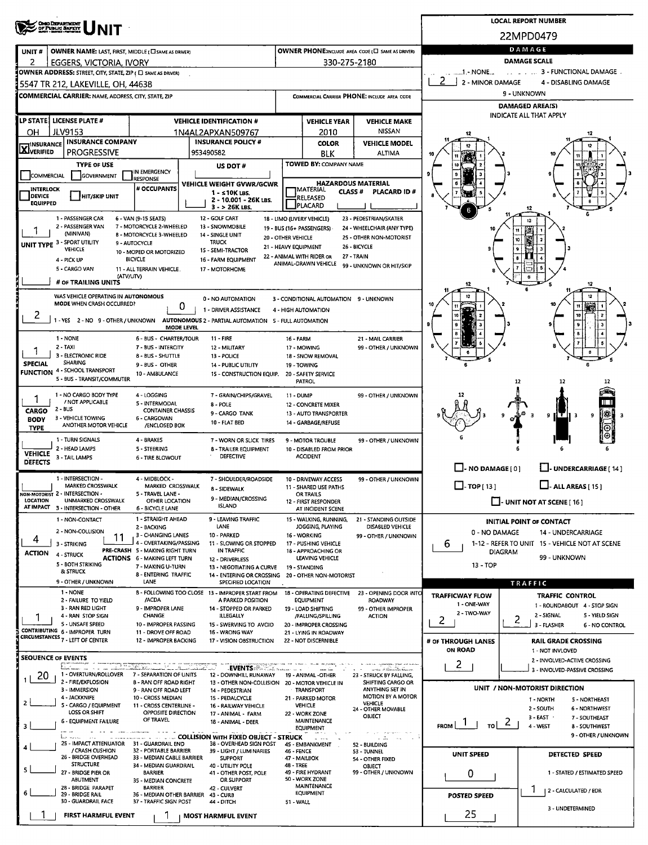| 22MPD0479<br>DAMAGE<br>OWNER PHONE:INCLUDE AREA CODE (L SAME AS DRIVER)<br>OWNER NAME: LAST, FIRST, MIDDLE ( C SAME AS DRIVER)<br>UNIT#<br><b>DAMAGE SCALE</b><br>330-275-2180<br>2<br>EGGERS, VICTORIA, IVORY<br>3 - FUNCTIONAL DAMAGE.<br>$1 - NONE$<br>OWNER ADDRESS: STREET, CITY, STATE, ZIP ( C SAME AS DRIVER)<br>2 - MINOR DAMAGE<br>4 - DISABLING DAMAGE<br>5547 TR 212, LAKEVILLE, OH, 44638<br>9 - UNKNOWN<br><b>COMMERCIAL CARRIER: NAME, ADDRESS, CITY, STATE, ZIP</b><br>COMMERCIAL CARRIER PHONE: INCLUDE AREA CODE<br><b>DAMAGED AREA(S)</b><br>INDICATE ALL THAT APPLY<br>LP STATE   LICENSE PLATE #<br><b>VEHICLE IDENTIFICATION #</b><br><b>VEHICLE YEAR</b><br><b>VEHICLE MAKE</b><br><b>JLV9153</b><br>NISSAN<br>2010<br>он<br>1N4AL2APXAN509767<br><b>INSURANCE COMPANY</b><br><b>INSURANCE POLICY #</b><br><b>COLOR</b><br><b>TINSURANCE</b><br><b>VEHICLE MODEL</b><br><b>LX</b> JVERIFIED<br><b>PROGRESSIVE</b><br>953490582<br>BLK<br><b>ALTIMA</b><br><b>TOWED BY: COMPANY NAME</b><br><b>TYPE OF USE</b><br>US DOT #<br>IN EMERGENCY<br>COMMERCIAL<br>GOVERNMENT<br>RESPONSE<br><b>HAZARDOUS MATERIAL</b><br>VEHICLE WEIGHT GVWR/GCWR<br># OCCUPANTS<br><b>INTERLOCK</b><br><b>IMATERIAL</b><br><b>CLASS#</b><br>PLACARD ID#<br>1 - s 10K LBS.<br><b>DEVICE</b><br><b>HIT/SKIP UNIT</b><br>RELEASED<br>2 - 10.001 - 26K LBS.<br><b>EQUIPPED</b><br><b>PLACARD</b><br>$3 - 26K$ LBS.<br>1 - PASSENGER CAR<br>6 - VAN (9-15 SEATS)<br>12 - GOLF CART<br>18 - LIMO (LIVERY VEHICLE)<br>23 - PEDESTRIAN/SKATER<br>2 - PASSENGER VAN<br>7 - MOTORCYCLE 2-WHEELED<br>13 - SNOWMOBILE<br>19 - BUS (16+ PASSENGERS)<br>24 - WHEELCHAIR (ANY TYPE)<br>(MINIVAN)<br>8 - MOTORCYCLE 3-WHEELED<br>14 - SINGLE UNIT<br>20 - OTHER VEHICLE<br>25 - OTHER NON-MOTORIST<br>UNIT TYPE 3 - SPORT UTILITY<br><b>TRUCK</b><br>9 - AUTOCYCLE<br>26 - BICYCLE<br>21 - HEAVY EQUIPMENT<br><b>VEHICLE</b><br>15 - SEMI-TRACTOR<br>10 - MOPED OR MOTORIZED<br>22 - ANIMAL WITH RIDER OR<br>27 - TRAIN<br><b>BICYCLE</b><br>4 - PICK UP<br>16 - FARM EQUIPMENT<br>ANIMAL-DRAWN VEHICLE<br>99 - UNKNOWN OR HIT/SKIP<br>5 - CARGO VAN<br>11 - ALL TERRAIN VEHICLE.<br>17 - MOTORHOME<br>(ATV/UTV)<br># OF TRAILING UNITS<br>WAS VEHICLE OPERATING IN AUTONOMOUS<br>0 - NO AUTOMATION<br>3 - CONDITIONAL AUTOMATION 9 - UNKNOWN<br>MODE WHEN CRASH OCCURRED?<br>0<br>1 - DRIVER ASSISTANCE<br>4 - HIGH AUTOMATION<br>2<br>1 - YES 2 - NO 9 - OTHER / UNKNOWN<br>AUTONOMOUS 2 - PARTIAL AUTOMATION 5 - FULL AUTOMATION<br>MODE LEVEL<br>1 - NONE<br>6 - BUS - CHARTER/TOUR<br>11 - FIRE<br><b>16 - FARM</b><br>21 - MAIL CARRIER<br>2 TAXI<br>7 - BUS - INTERCITY<br>99 - OTHER / UNKNOWN<br>12 - MILITARY<br>17 - MOWING<br>3 - ELECTRONIC RIDE<br>8 - BUS - SHUTTLE<br>13 - POLICE<br>18 - SNOW REMOVAL<br><b>SHARING</b><br><b>SPECIAL</b><br>9 - BUS - OTHER<br>14 - PUBLIC UTILITY<br>19 - TOWING<br><b>FUNCTION 4 - SCHOOL TRANSPORT</b><br>10 - AMBULANCE<br>15 - CONSTRUCTION EQUIP.<br>20 - SAFETY SERVICE<br>5 - BUS - TRANSIT/COMMUTER<br><b>PATROL</b><br>12<br>12<br>1 - NO CARGO BODY TYPE<br>4 - LOGGING<br>7 - GRAIN/CHIPS/GRAVEL<br>99 - OTHER / UNKNOWN<br>11 - DUMP<br>/ NOT APPLICABLE<br>5 - INTERMODAL<br>8 - POLE<br>12 - CONCRETE MIXER<br>2 - BUS<br><b>CARGO</b><br><b>CONTAINER CHASSIS</b><br>9 - CARGO TANK<br>13 - AUTO TRANSPORTER<br>9<br>-3<br>9<br>3 - VEHICLE TOWING<br>6 - CARGOVAN<br><b>BODY</b><br>10 - FLAT BED<br>14 - GARBAGE/REFUSE<br>ANOTHER MOTOR VEHICLE<br>/ENCLOSED BOX<br><b>TYPE</b><br>1 - TURN SIGNALS<br>4 - BRAKES<br>7 - WORN OR SLICK TIRES<br>9 - MOTOR TROUBLE<br>99 - OTHER / UNKNOWN<br>2 - HEAD LAMPS<br>5 - STEERING<br><b>8 - TRAILER EQUIPMENT</b><br>10 - DISABLED FROM PRIOR<br><b>VEHICLE</b><br><b>DEFECTIVE</b><br><b>ACCIDENT</b><br>3 - TAIL LAMPS<br><b>6 - TIRE BLOWOUT</b><br><b>DEFECTS</b><br>$\Box$ - NO DAMAGE $[0]$<br>UNDERCARRIAGE [14]<br>1 - INTERSECTION -<br>4 - MIDBLOCK -<br>7 - SHOULDER/ROADSIDE<br>10 - DRIVEWAY ACCESS<br>99 - OTHER / UNKNOWN<br>$\Box$ - ALL AREAS [ 15 ]<br>$\square$ - TOP [ 13 ]<br><b>MARKED CROSSWALK</b><br>MARKED CROSSWALK<br>11 - SHARED USE PATHS<br>8 - SIDEWALK<br>NON-MOTORIST 2 - INTERSECTION -<br>5 - TRAVEL LANE -<br>OR TRAILS<br>9 - MEDIAN/CROSSING<br>LOCATION<br>UNMARKED CROSSWALK<br>OTHER LOCATION<br>$\Box$ - UNIT NOT AT SCENE [16]<br>12 - FIRST RESPONDER<br><b>ISLAND</b><br>AT IMPACT 3 - INTERSECTION - OTHER<br>6 - BICYCLE LANE<br>AT INCIDENT SCENE<br>1 - STRAIGHT AHEAD<br>9 - LEAVING TRAFFIC<br>1 - NON-CONTACT<br>15 - WALKING, RUNNING,<br>21 - STANDING OUTSIDE<br><b>INITIAL POINT OF CONTACT</b><br>LANE<br>2 - BACKING<br>JOGGING, PLAYING<br>DISABLED VEHICLE<br>2 - NON-COLLISION<br>0 - NO DAMAGE<br>14 - UNDERCARRIAGE<br>3 - CHANGING LANES<br>10 - PARKED<br>16 - WORKING<br>99 - OTHER / UNKNOWN<br>11<br>4<br>4 - OVERTAKING/PASSING<br>1-12 - REFER TO UNIT 15 - VEHICLE NOT AT SCENE<br>3 - STRIKING<br>11 - SLOWING OR STOPPED<br>17 - PUSHING VEHICLE<br>6<br>PRE-CRASH 5 - MAKING RIGHT TURN<br>IN TRAFFIC<br>18 - APPROACHING OR<br><b>DIAGRAM</b><br><b>ACTION</b><br>4 - STRUCK<br>99 - UNKNOWN<br><b>ACTIONS 6 - MAKING LEFT TURN</b><br>LEAVING VEHICLE<br>12 - DRIVERLESS<br>5 - BOTH STRIKING<br>13 - TOP<br>7 - MAKING U-TURN<br>13 - NEGOTIATING A CURVE<br><b>19 - STANDING</b><br>& STRUCK<br>8 - ENTERING TRAFFIC<br>14 - ENTERING OR CROSSING 20 - OTHER NON-MOTORIST<br>9 - OTHER / UNKNOWN<br>LANE<br>SPECIFIED LOCATION<br><b>TRAFFIC</b><br>1 - NONE<br>8 - FOLLOWING TOO CLOSE 13 - IMPROPER START FROM<br><b>18 - OPERATING DEFECTIVE</b><br>23 - OPENING DOOR INTO<br><b>TRAFFICWAY FLOW</b><br>TRAFFIC CONTROL<br>/ACDA<br>A PARKED POSITION<br>2 - FAILURE TO YIELD<br>EQUIPMENT<br><b>ROADWAY</b><br>1 - ONE-WAY<br>1 - ROUNDABOUT 4 - STOP SIGN<br>3 - RAN RED LIGHT<br>9 - IMPROPER LANE<br>14 - STOPPED OR PARKED<br>19 - LOAD SHIFTING<br>99 - OTHER IMPROPER<br>2 - TWO-WAY<br><b>CHANGE</b><br>2 - SIGNAL<br>5 - YIELD SIGN<br>4 - RAN STOP SIGN<br>ILLEGALLY<br>/FALLING/SPILLING<br><b>ACTION</b><br>2<br>$\overline{2}$<br>5 - UNSAFE SPEED<br>10 - IMPROPER PASSING<br>15 - SWERVING TO AVOID<br>3 - FLASHER<br>20 - IMPROPER CROSSING<br><b>6 - NO CONTROL</b><br>CONTRIBUTING 6 - IMPROPER TURN<br>11 - DROVE OFF ROAD<br><b>16 - WRONG WAY</b><br>21 - LYING IN ROADWAY<br><b>CIRCUMSTANCES 7 - LEFT OF CENTER</b><br>12 - IMPROPER BACKING<br>17 - VISION OBSTRUCTION<br>22 - NOT DISCERNIBLE<br># OF THROUGH LANES<br><b>RAIL GRADE CROSSING</b><br><b>ON ROAD</b><br>1 - NOT INVLOVED<br><b>SEQUENCE OF EVENTS</b><br>2 - INVOLVED-ACTIVE CROSSING<br>$\overline{2}$<br>35. XI.<br><b>EVENTS AND LEA</b><br>markinistika kunin<br>3 - INVOLVED-PASSIVE CROSSING<br>1 - OVERTURN/ROLLOVER<br>20<br>7 - SEPARATION OF UNITS<br>12 - DOWNHILL RUNAWAY<br>19 - ANIMAL -OTHER<br>23 - STRUCK BY FALLING,<br>2 - FIRE/EXPLOSION<br>8 - RAN OFF ROAD RIGHT<br>13 - OTHER NON-COLLISION  20 - MOTOR VEHICLE IN<br>SHIFTING CARGO OR<br>UNIT / NON-MOTORIST DIRECTION<br>ANYTHING SET IN<br>3 - IMMERSION<br>9 - RAN OFF ROAD LEFT<br><b>TRANSPORT</b><br>14 - PEDESTRIAN<br>MOTION BY A MOTOR<br>4 - JACKKNIFE<br>10 - CROSS MEDIAN<br>15 - PEDALCYCLE<br>21 - PARKED MOTOR<br>1 - NORTH<br>5 - NORTHEAST<br>$\overline{2}$<br><b>VEHICLE</b><br>5 - CARGO / EQUIPMENT<br>11 - CROSS CENTERLINE -<br><b>VEHICLE</b><br>16 - RAILWAY VEHICLE<br>2 - SOUTH<br>6 - NORTHWEST<br>24 - OTHER MOVABLE<br>LOSS OR SHIFT<br>OPPOSITE DIRECTION<br>22 - WORK ZONE<br>17 - ANIMAL - FARM<br>OBJECT<br>$3 - EAST$<br>7 - SOUTHEAST<br>OF TRAVEL<br><b>6 - EQUIPMENT FAILURE</b><br>MAINTENANCE<br>18 - ANIMAL - DEER<br>$_{\text{tol}}$ 2<br>$F_{\text{ROM}}$ $\perp$ 1<br>4 - WEST<br>3<br>8 - SOUTHWEST<br><b>EQUIPMENT</b><br>9 - OTHER / UNKNOWN<br>COLLISION WITH FIXED OBJECT - STRUCK<br>have a serious of<br>the common companies of the companies of<br>.<br>$\sim$ 100 $\mu$<br>25 - IMPACT ATTENUATOR 31 - GUARDRAIL END<br>38 - OVERHEAD SIGN POST<br>45 - EMBANKMENT<br>52 - BUILDING<br>/ CRASH CUSHION<br>32 - PORTABLE BARRIER<br>39 - LIGHT / LUMINARIES<br>46 - FENCE<br><b>S3 - TUNNEL</b><br><b>UNIT SPEED</b><br>DETECTED SPEED<br>26 - BRIDGE OVERHEAD<br>33 - MEDIAN CABLE BARRIER<br><b>SUPPORT</b><br>47 - MAILBOX<br>54 - OTHER FIXED<br><b>STRUCTURE</b><br>48 - TREE<br>34 - MEDIAN GUARDRAIL<br>40 - UTILITY POLE<br>OBJECT<br>5<br>27 - BRIDGE PIER OR<br>49 - FIRE HYDRANT<br>99 - OTHER / UNKNOWN<br><b>BARRIER</b><br>0<br>1 - STATED / ESTIMATED SPEED<br>41 - OTHER POST, POLE<br>50 - WORK ZONE<br>ABUTMENT<br>OR SUPPORT<br>35 - MEDIAN CONCRETE<br>MAINTENANCE<br>28 - BRIDGE PARAPET<br><b>BARRIER</b><br>42 - CULVERT<br>  2 - CALCULATED / EDR<br><b>EQUIPMENT</b><br>6<br>29 - BRIDGE RAIL<br>36 - MEDIAN OTHER BARRIER<br>43 - CURB<br><b>POSTED SPEED</b><br>30 - GUARDRAIL FACE<br>37 - TRAFFIC SIGN POST<br>44 - DITCH<br><b>51 - WALL</b><br>3 - UNDETERMINED<br>25<br>FIRST HARMFUL EVENT<br><b>MOST HARMFUL EVENT</b> | <b>ONO DEPARTMENT</b><br>OF PUBLIC SAFETY |  |  |  |  | <b>LOCAL REPORT NUMBER</b> |  |  |  |  |  |
|------------------------------------------------------------------------------------------------------------------------------------------------------------------------------------------------------------------------------------------------------------------------------------------------------------------------------------------------------------------------------------------------------------------------------------------------------------------------------------------------------------------------------------------------------------------------------------------------------------------------------------------------------------------------------------------------------------------------------------------------------------------------------------------------------------------------------------------------------------------------------------------------------------------------------------------------------------------------------------------------------------------------------------------------------------------------------------------------------------------------------------------------------------------------------------------------------------------------------------------------------------------------------------------------------------------------------------------------------------------------------------------------------------------------------------------------------------------------------------------------------------------------------------------------------------------------------------------------------------------------------------------------------------------------------------------------------------------------------------------------------------------------------------------------------------------------------------------------------------------------------------------------------------------------------------------------------------------------------------------------------------------------------------------------------------------------------------------------------------------------------------------------------------------------------------------------------------------------------------------------------------------------------------------------------------------------------------------------------------------------------------------------------------------------------------------------------------------------------------------------------------------------------------------------------------------------------------------------------------------------------------------------------------------------------------------------------------------------------------------------------------------------------------------------------------------------------------------------------------------------------------------------------------------------------------------------------------------------------------------------------------------------------------------------------------------------------------------------------------------------------------------------------------------------------------------------------------------------------------------------------------------------------------------------------------------------------------------------------------------------------------------------------------------------------------------------------------------------------------------------------------------------------------------------------------------------------------------------------------------------------------------------------------------------------------------------------------------------------------------------------------------------------------------------------------------------------------------------------------------------------------------------------------------------------------------------------------------------------------------------------------------------------------------------------------------------------------------------------------------------------------------------------------------------------------------------------------------------------------------------------------------------------------------------------------------------------------------------------------------------------------------------------------------------------------------------------------------------------------------------------------------------------------------------------------------------------------------------------------------------------------------------------------------------------------------------------------------------------------------------------------------------------------------------------------------------------------------------------------------------------------------------------------------------------------------------------------------------------------------------------------------------------------------------------------------------------------------------------------------------------------------------------------------------------------------------------------------------------------------------------------------------------------------------------------------------------------------------------------------------------------------------------------------------------------------------------------------------------------------------------------------------------------------------------------------------------------------------------------------------------------------------------------------------------------------------------------------------------------------------------------------------------------------------------------------------------------------------------------------------------------------------------------------------------------------------------------------------------------------------------------------------------------------------------------------------------------------------------------------------------------------------------------------------------------------------------------------------------------------------------------------------------------------------------------------------------------------------------------------------------------------------------------------------------------------------------------------------------------------------------------------------------------------------------------------------------------------------------------------------------------------------------------------------------------------------------------------------------------------------------------------------------------------------------------------------------------------------------------------------------------------------------------------------------------------------------------------------------------------------------------------------------------------------------------------------------------------------------------------------------------------------------------------------------------------------------------------------------------------------------------------------------------------------------------------------------------------------------------------------------------------------------------------------------------------------------------------------------------------------------------------------------------------------------------------------------------------------------------------------------------------------------------------------------------------------------------------------------------------------------------------------------------------------------------------------------------------------------------------------------------------------------------------------------------------------------------------------------------------------------------------------------------------------------------------------------------------------------------------------------------------------------------------------------------------------------------------------------------------------------------------------------------------------------------------------------------------------------------------------------------------------------------------------------------------------------------------------------------------------------------------------------------------------------------------------------------------------------------------------------------------------------------------------------------------------------------------------------------------------------------------------------------------------------------------------------------------------------------------------------------------------------------------------------------------------------------------------------------------------------------------------------------------------------------------|-------------------------------------------|--|--|--|--|----------------------------|--|--|--|--|--|
|                                                                                                                                                                                                                                                                                                                                                                                                                                                                                                                                                                                                                                                                                                                                                                                                                                                                                                                                                                                                                                                                                                                                                                                                                                                                                                                                                                                                                                                                                                                                                                                                                                                                                                                                                                                                                                                                                                                                                                                                                                                                                                                                                                                                                                                                                                                                                                                                                                                                                                                                                                                                                                                                                                                                                                                                                                                                                                                                                                                                                                                                                                                                                                                                                                                                                                                                                                                                                                                                                                                                                                                                                                                                                                                                                                                                                                                                                                                                                                                                                                                                                                                                                                                                                                                                                                                                                                                                                                                                                                                                                                                                                                                                                                                                                                                                                                                                                                                                                                                                                                                                                                                                                                                                                                                                                                                                                                                                                                                                                                                                                                                                                                                                                                                                                                                                                                                                                                                                                                                                                                                                                                                                                                                                                                                                                                                                                                                                                                                                                                                                                                                                                                                                                                                                                                                                                                                                                                                                                                                                                                                                                                                                                                                                                                                                                                                                                                                                                                                                                                                                                                                                                                                                                                                                                                                                                                                                                                                                                                                                                                                                                                                                                                                                                                                                                                                                                                                                                                                                                                                                                                                                                                                                                                                                                                                                                                                                                                                                                                                                                                                                  |                                           |  |  |  |  |                            |  |  |  |  |  |
|                                                                                                                                                                                                                                                                                                                                                                                                                                                                                                                                                                                                                                                                                                                                                                                                                                                                                                                                                                                                                                                                                                                                                                                                                                                                                                                                                                                                                                                                                                                                                                                                                                                                                                                                                                                                                                                                                                                                                                                                                                                                                                                                                                                                                                                                                                                                                                                                                                                                                                                                                                                                                                                                                                                                                                                                                                                                                                                                                                                                                                                                                                                                                                                                                                                                                                                                                                                                                                                                                                                                                                                                                                                                                                                                                                                                                                                                                                                                                                                                                                                                                                                                                                                                                                                                                                                                                                                                                                                                                                                                                                                                                                                                                                                                                                                                                                                                                                                                                                                                                                                                                                                                                                                                                                                                                                                                                                                                                                                                                                                                                                                                                                                                                                                                                                                                                                                                                                                                                                                                                                                                                                                                                                                                                                                                                                                                                                                                                                                                                                                                                                                                                                                                                                                                                                                                                                                                                                                                                                                                                                                                                                                                                                                                                                                                                                                                                                                                                                                                                                                                                                                                                                                                                                                                                                                                                                                                                                                                                                                                                                                                                                                                                                                                                                                                                                                                                                                                                                                                                                                                                                                                                                                                                                                                                                                                                                                                                                                                                                                                                                                                  |                                           |  |  |  |  |                            |  |  |  |  |  |
|                                                                                                                                                                                                                                                                                                                                                                                                                                                                                                                                                                                                                                                                                                                                                                                                                                                                                                                                                                                                                                                                                                                                                                                                                                                                                                                                                                                                                                                                                                                                                                                                                                                                                                                                                                                                                                                                                                                                                                                                                                                                                                                                                                                                                                                                                                                                                                                                                                                                                                                                                                                                                                                                                                                                                                                                                                                                                                                                                                                                                                                                                                                                                                                                                                                                                                                                                                                                                                                                                                                                                                                                                                                                                                                                                                                                                                                                                                                                                                                                                                                                                                                                                                                                                                                                                                                                                                                                                                                                                                                                                                                                                                                                                                                                                                                                                                                                                                                                                                                                                                                                                                                                                                                                                                                                                                                                                                                                                                                                                                                                                                                                                                                                                                                                                                                                                                                                                                                                                                                                                                                                                                                                                                                                                                                                                                                                                                                                                                                                                                                                                                                                                                                                                                                                                                                                                                                                                                                                                                                                                                                                                                                                                                                                                                                                                                                                                                                                                                                                                                                                                                                                                                                                                                                                                                                                                                                                                                                                                                                                                                                                                                                                                                                                                                                                                                                                                                                                                                                                                                                                                                                                                                                                                                                                                                                                                                                                                                                                                                                                                                                                  |                                           |  |  |  |  |                            |  |  |  |  |  |
|                                                                                                                                                                                                                                                                                                                                                                                                                                                                                                                                                                                                                                                                                                                                                                                                                                                                                                                                                                                                                                                                                                                                                                                                                                                                                                                                                                                                                                                                                                                                                                                                                                                                                                                                                                                                                                                                                                                                                                                                                                                                                                                                                                                                                                                                                                                                                                                                                                                                                                                                                                                                                                                                                                                                                                                                                                                                                                                                                                                                                                                                                                                                                                                                                                                                                                                                                                                                                                                                                                                                                                                                                                                                                                                                                                                                                                                                                                                                                                                                                                                                                                                                                                                                                                                                                                                                                                                                                                                                                                                                                                                                                                                                                                                                                                                                                                                                                                                                                                                                                                                                                                                                                                                                                                                                                                                                                                                                                                                                                                                                                                                                                                                                                                                                                                                                                                                                                                                                                                                                                                                                                                                                                                                                                                                                                                                                                                                                                                                                                                                                                                                                                                                                                                                                                                                                                                                                                                                                                                                                                                                                                                                                                                                                                                                                                                                                                                                                                                                                                                                                                                                                                                                                                                                                                                                                                                                                                                                                                                                                                                                                                                                                                                                                                                                                                                                                                                                                                                                                                                                                                                                                                                                                                                                                                                                                                                                                                                                                                                                                                                                                  |                                           |  |  |  |  |                            |  |  |  |  |  |
|                                                                                                                                                                                                                                                                                                                                                                                                                                                                                                                                                                                                                                                                                                                                                                                                                                                                                                                                                                                                                                                                                                                                                                                                                                                                                                                                                                                                                                                                                                                                                                                                                                                                                                                                                                                                                                                                                                                                                                                                                                                                                                                                                                                                                                                                                                                                                                                                                                                                                                                                                                                                                                                                                                                                                                                                                                                                                                                                                                                                                                                                                                                                                                                                                                                                                                                                                                                                                                                                                                                                                                                                                                                                                                                                                                                                                                                                                                                                                                                                                                                                                                                                                                                                                                                                                                                                                                                                                                                                                                                                                                                                                                                                                                                                                                                                                                                                                                                                                                                                                                                                                                                                                                                                                                                                                                                                                                                                                                                                                                                                                                                                                                                                                                                                                                                                                                                                                                                                                                                                                                                                                                                                                                                                                                                                                                                                                                                                                                                                                                                                                                                                                                                                                                                                                                                                                                                                                                                                                                                                                                                                                                                                                                                                                                                                                                                                                                                                                                                                                                                                                                                                                                                                                                                                                                                                                                                                                                                                                                                                                                                                                                                                                                                                                                                                                                                                                                                                                                                                                                                                                                                                                                                                                                                                                                                                                                                                                                                                                                                                                                                                  |                                           |  |  |  |  |                            |  |  |  |  |  |
|                                                                                                                                                                                                                                                                                                                                                                                                                                                                                                                                                                                                                                                                                                                                                                                                                                                                                                                                                                                                                                                                                                                                                                                                                                                                                                                                                                                                                                                                                                                                                                                                                                                                                                                                                                                                                                                                                                                                                                                                                                                                                                                                                                                                                                                                                                                                                                                                                                                                                                                                                                                                                                                                                                                                                                                                                                                                                                                                                                                                                                                                                                                                                                                                                                                                                                                                                                                                                                                                                                                                                                                                                                                                                                                                                                                                                                                                                                                                                                                                                                                                                                                                                                                                                                                                                                                                                                                                                                                                                                                                                                                                                                                                                                                                                                                                                                                                                                                                                                                                                                                                                                                                                                                                                                                                                                                                                                                                                                                                                                                                                                                                                                                                                                                                                                                                                                                                                                                                                                                                                                                                                                                                                                                                                                                                                                                                                                                                                                                                                                                                                                                                                                                                                                                                                                                                                                                                                                                                                                                                                                                                                                                                                                                                                                                                                                                                                                                                                                                                                                                                                                                                                                                                                                                                                                                                                                                                                                                                                                                                                                                                                                                                                                                                                                                                                                                                                                                                                                                                                                                                                                                                                                                                                                                                                                                                                                                                                                                                                                                                                                                                  |                                           |  |  |  |  |                            |  |  |  |  |  |
|                                                                                                                                                                                                                                                                                                                                                                                                                                                                                                                                                                                                                                                                                                                                                                                                                                                                                                                                                                                                                                                                                                                                                                                                                                                                                                                                                                                                                                                                                                                                                                                                                                                                                                                                                                                                                                                                                                                                                                                                                                                                                                                                                                                                                                                                                                                                                                                                                                                                                                                                                                                                                                                                                                                                                                                                                                                                                                                                                                                                                                                                                                                                                                                                                                                                                                                                                                                                                                                                                                                                                                                                                                                                                                                                                                                                                                                                                                                                                                                                                                                                                                                                                                                                                                                                                                                                                                                                                                                                                                                                                                                                                                                                                                                                                                                                                                                                                                                                                                                                                                                                                                                                                                                                                                                                                                                                                                                                                                                                                                                                                                                                                                                                                                                                                                                                                                                                                                                                                                                                                                                                                                                                                                                                                                                                                                                                                                                                                                                                                                                                                                                                                                                                                                                                                                                                                                                                                                                                                                                                                                                                                                                                                                                                                                                                                                                                                                                                                                                                                                                                                                                                                                                                                                                                                                                                                                                                                                                                                                                                                                                                                                                                                                                                                                                                                                                                                                                                                                                                                                                                                                                                                                                                                                                                                                                                                                                                                                                                                                                                                                                                  |                                           |  |  |  |  |                            |  |  |  |  |  |
|                                                                                                                                                                                                                                                                                                                                                                                                                                                                                                                                                                                                                                                                                                                                                                                                                                                                                                                                                                                                                                                                                                                                                                                                                                                                                                                                                                                                                                                                                                                                                                                                                                                                                                                                                                                                                                                                                                                                                                                                                                                                                                                                                                                                                                                                                                                                                                                                                                                                                                                                                                                                                                                                                                                                                                                                                                                                                                                                                                                                                                                                                                                                                                                                                                                                                                                                                                                                                                                                                                                                                                                                                                                                                                                                                                                                                                                                                                                                                                                                                                                                                                                                                                                                                                                                                                                                                                                                                                                                                                                                                                                                                                                                                                                                                                                                                                                                                                                                                                                                                                                                                                                                                                                                                                                                                                                                                                                                                                                                                                                                                                                                                                                                                                                                                                                                                                                                                                                                                                                                                                                                                                                                                                                                                                                                                                                                                                                                                                                                                                                                                                                                                                                                                                                                                                                                                                                                                                                                                                                                                                                                                                                                                                                                                                                                                                                                                                                                                                                                                                                                                                                                                                                                                                                                                                                                                                                                                                                                                                                                                                                                                                                                                                                                                                                                                                                                                                                                                                                                                                                                                                                                                                                                                                                                                                                                                                                                                                                                                                                                                                                                  |                                           |  |  |  |  |                            |  |  |  |  |  |
|                                                                                                                                                                                                                                                                                                                                                                                                                                                                                                                                                                                                                                                                                                                                                                                                                                                                                                                                                                                                                                                                                                                                                                                                                                                                                                                                                                                                                                                                                                                                                                                                                                                                                                                                                                                                                                                                                                                                                                                                                                                                                                                                                                                                                                                                                                                                                                                                                                                                                                                                                                                                                                                                                                                                                                                                                                                                                                                                                                                                                                                                                                                                                                                                                                                                                                                                                                                                                                                                                                                                                                                                                                                                                                                                                                                                                                                                                                                                                                                                                                                                                                                                                                                                                                                                                                                                                                                                                                                                                                                                                                                                                                                                                                                                                                                                                                                                                                                                                                                                                                                                                                                                                                                                                                                                                                                                                                                                                                                                                                                                                                                                                                                                                                                                                                                                                                                                                                                                                                                                                                                                                                                                                                                                                                                                                                                                                                                                                                                                                                                                                                                                                                                                                                                                                                                                                                                                                                                                                                                                                                                                                                                                                                                                                                                                                                                                                                                                                                                                                                                                                                                                                                                                                                                                                                                                                                                                                                                                                                                                                                                                                                                                                                                                                                                                                                                                                                                                                                                                                                                                                                                                                                                                                                                                                                                                                                                                                                                                                                                                                                                                  |                                           |  |  |  |  |                            |  |  |  |  |  |
|                                                                                                                                                                                                                                                                                                                                                                                                                                                                                                                                                                                                                                                                                                                                                                                                                                                                                                                                                                                                                                                                                                                                                                                                                                                                                                                                                                                                                                                                                                                                                                                                                                                                                                                                                                                                                                                                                                                                                                                                                                                                                                                                                                                                                                                                                                                                                                                                                                                                                                                                                                                                                                                                                                                                                                                                                                                                                                                                                                                                                                                                                                                                                                                                                                                                                                                                                                                                                                                                                                                                                                                                                                                                                                                                                                                                                                                                                                                                                                                                                                                                                                                                                                                                                                                                                                                                                                                                                                                                                                                                                                                                                                                                                                                                                                                                                                                                                                                                                                                                                                                                                                                                                                                                                                                                                                                                                                                                                                                                                                                                                                                                                                                                                                                                                                                                                                                                                                                                                                                                                                                                                                                                                                                                                                                                                                                                                                                                                                                                                                                                                                                                                                                                                                                                                                                                                                                                                                                                                                                                                                                                                                                                                                                                                                                                                                                                                                                                                                                                                                                                                                                                                                                                                                                                                                                                                                                                                                                                                                                                                                                                                                                                                                                                                                                                                                                                                                                                                                                                                                                                                                                                                                                                                                                                                                                                                                                                                                                                                                                                                                                                  |                                           |  |  |  |  |                            |  |  |  |  |  |
|                                                                                                                                                                                                                                                                                                                                                                                                                                                                                                                                                                                                                                                                                                                                                                                                                                                                                                                                                                                                                                                                                                                                                                                                                                                                                                                                                                                                                                                                                                                                                                                                                                                                                                                                                                                                                                                                                                                                                                                                                                                                                                                                                                                                                                                                                                                                                                                                                                                                                                                                                                                                                                                                                                                                                                                                                                                                                                                                                                                                                                                                                                                                                                                                                                                                                                                                                                                                                                                                                                                                                                                                                                                                                                                                                                                                                                                                                                                                                                                                                                                                                                                                                                                                                                                                                                                                                                                                                                                                                                                                                                                                                                                                                                                                                                                                                                                                                                                                                                                                                                                                                                                                                                                                                                                                                                                                                                                                                                                                                                                                                                                                                                                                                                                                                                                                                                                                                                                                                                                                                                                                                                                                                                                                                                                                                                                                                                                                                                                                                                                                                                                                                                                                                                                                                                                                                                                                                                                                                                                                                                                                                                                                                                                                                                                                                                                                                                                                                                                                                                                                                                                                                                                                                                                                                                                                                                                                                                                                                                                                                                                                                                                                                                                                                                                                                                                                                                                                                                                                                                                                                                                                                                                                                                                                                                                                                                                                                                                                                                                                                                                                  |                                           |  |  |  |  |                            |  |  |  |  |  |
|                                                                                                                                                                                                                                                                                                                                                                                                                                                                                                                                                                                                                                                                                                                                                                                                                                                                                                                                                                                                                                                                                                                                                                                                                                                                                                                                                                                                                                                                                                                                                                                                                                                                                                                                                                                                                                                                                                                                                                                                                                                                                                                                                                                                                                                                                                                                                                                                                                                                                                                                                                                                                                                                                                                                                                                                                                                                                                                                                                                                                                                                                                                                                                                                                                                                                                                                                                                                                                                                                                                                                                                                                                                                                                                                                                                                                                                                                                                                                                                                                                                                                                                                                                                                                                                                                                                                                                                                                                                                                                                                                                                                                                                                                                                                                                                                                                                                                                                                                                                                                                                                                                                                                                                                                                                                                                                                                                                                                                                                                                                                                                                                                                                                                                                                                                                                                                                                                                                                                                                                                                                                                                                                                                                                                                                                                                                                                                                                                                                                                                                                                                                                                                                                                                                                                                                                                                                                                                                                                                                                                                                                                                                                                                                                                                                                                                                                                                                                                                                                                                                                                                                                                                                                                                                                                                                                                                                                                                                                                                                                                                                                                                                                                                                                                                                                                                                                                                                                                                                                                                                                                                                                                                                                                                                                                                                                                                                                                                                                                                                                                                                                  |                                           |  |  |  |  |                            |  |  |  |  |  |
|                                                                                                                                                                                                                                                                                                                                                                                                                                                                                                                                                                                                                                                                                                                                                                                                                                                                                                                                                                                                                                                                                                                                                                                                                                                                                                                                                                                                                                                                                                                                                                                                                                                                                                                                                                                                                                                                                                                                                                                                                                                                                                                                                                                                                                                                                                                                                                                                                                                                                                                                                                                                                                                                                                                                                                                                                                                                                                                                                                                                                                                                                                                                                                                                                                                                                                                                                                                                                                                                                                                                                                                                                                                                                                                                                                                                                                                                                                                                                                                                                                                                                                                                                                                                                                                                                                                                                                                                                                                                                                                                                                                                                                                                                                                                                                                                                                                                                                                                                                                                                                                                                                                                                                                                                                                                                                                                                                                                                                                                                                                                                                                                                                                                                                                                                                                                                                                                                                                                                                                                                                                                                                                                                                                                                                                                                                                                                                                                                                                                                                                                                                                                                                                                                                                                                                                                                                                                                                                                                                                                                                                                                                                                                                                                                                                                                                                                                                                                                                                                                                                                                                                                                                                                                                                                                                                                                                                                                                                                                                                                                                                                                                                                                                                                                                                                                                                                                                                                                                                                                                                                                                                                                                                                                                                                                                                                                                                                                                                                                                                                                                                                  |                                           |  |  |  |  |                            |  |  |  |  |  |
|                                                                                                                                                                                                                                                                                                                                                                                                                                                                                                                                                                                                                                                                                                                                                                                                                                                                                                                                                                                                                                                                                                                                                                                                                                                                                                                                                                                                                                                                                                                                                                                                                                                                                                                                                                                                                                                                                                                                                                                                                                                                                                                                                                                                                                                                                                                                                                                                                                                                                                                                                                                                                                                                                                                                                                                                                                                                                                                                                                                                                                                                                                                                                                                                                                                                                                                                                                                                                                                                                                                                                                                                                                                                                                                                                                                                                                                                                                                                                                                                                                                                                                                                                                                                                                                                                                                                                                                                                                                                                                                                                                                                                                                                                                                                                                                                                                                                                                                                                                                                                                                                                                                                                                                                                                                                                                                                                                                                                                                                                                                                                                                                                                                                                                                                                                                                                                                                                                                                                                                                                                                                                                                                                                                                                                                                                                                                                                                                                                                                                                                                                                                                                                                                                                                                                                                                                                                                                                                                                                                                                                                                                                                                                                                                                                                                                                                                                                                                                                                                                                                                                                                                                                                                                                                                                                                                                                                                                                                                                                                                                                                                                                                                                                                                                                                                                                                                                                                                                                                                                                                                                                                                                                                                                                                                                                                                                                                                                                                                                                                                                                                                  |                                           |  |  |  |  |                            |  |  |  |  |  |
|                                                                                                                                                                                                                                                                                                                                                                                                                                                                                                                                                                                                                                                                                                                                                                                                                                                                                                                                                                                                                                                                                                                                                                                                                                                                                                                                                                                                                                                                                                                                                                                                                                                                                                                                                                                                                                                                                                                                                                                                                                                                                                                                                                                                                                                                                                                                                                                                                                                                                                                                                                                                                                                                                                                                                                                                                                                                                                                                                                                                                                                                                                                                                                                                                                                                                                                                                                                                                                                                                                                                                                                                                                                                                                                                                                                                                                                                                                                                                                                                                                                                                                                                                                                                                                                                                                                                                                                                                                                                                                                                                                                                                                                                                                                                                                                                                                                                                                                                                                                                                                                                                                                                                                                                                                                                                                                                                                                                                                                                                                                                                                                                                                                                                                                                                                                                                                                                                                                                                                                                                                                                                                                                                                                                                                                                                                                                                                                                                                                                                                                                                                                                                                                                                                                                                                                                                                                                                                                                                                                                                                                                                                                                                                                                                                                                                                                                                                                                                                                                                                                                                                                                                                                                                                                                                                                                                                                                                                                                                                                                                                                                                                                                                                                                                                                                                                                                                                                                                                                                                                                                                                                                                                                                                                                                                                                                                                                                                                                                                                                                                                                                  |                                           |  |  |  |  |                            |  |  |  |  |  |
|                                                                                                                                                                                                                                                                                                                                                                                                                                                                                                                                                                                                                                                                                                                                                                                                                                                                                                                                                                                                                                                                                                                                                                                                                                                                                                                                                                                                                                                                                                                                                                                                                                                                                                                                                                                                                                                                                                                                                                                                                                                                                                                                                                                                                                                                                                                                                                                                                                                                                                                                                                                                                                                                                                                                                                                                                                                                                                                                                                                                                                                                                                                                                                                                                                                                                                                                                                                                                                                                                                                                                                                                                                                                                                                                                                                                                                                                                                                                                                                                                                                                                                                                                                                                                                                                                                                                                                                                                                                                                                                                                                                                                                                                                                                                                                                                                                                                                                                                                                                                                                                                                                                                                                                                                                                                                                                                                                                                                                                                                                                                                                                                                                                                                                                                                                                                                                                                                                                                                                                                                                                                                                                                                                                                                                                                                                                                                                                                                                                                                                                                                                                                                                                                                                                                                                                                                                                                                                                                                                                                                                                                                                                                                                                                                                                                                                                                                                                                                                                                                                                                                                                                                                                                                                                                                                                                                                                                                                                                                                                                                                                                                                                                                                                                                                                                                                                                                                                                                                                                                                                                                                                                                                                                                                                                                                                                                                                                                                                                                                                                                                                                  |                                           |  |  |  |  |                            |  |  |  |  |  |
|                                                                                                                                                                                                                                                                                                                                                                                                                                                                                                                                                                                                                                                                                                                                                                                                                                                                                                                                                                                                                                                                                                                                                                                                                                                                                                                                                                                                                                                                                                                                                                                                                                                                                                                                                                                                                                                                                                                                                                                                                                                                                                                                                                                                                                                                                                                                                                                                                                                                                                                                                                                                                                                                                                                                                                                                                                                                                                                                                                                                                                                                                                                                                                                                                                                                                                                                                                                                                                                                                                                                                                                                                                                                                                                                                                                                                                                                                                                                                                                                                                                                                                                                                                                                                                                                                                                                                                                                                                                                                                                                                                                                                                                                                                                                                                                                                                                                                                                                                                                                                                                                                                                                                                                                                                                                                                                                                                                                                                                                                                                                                                                                                                                                                                                                                                                                                                                                                                                                                                                                                                                                                                                                                                                                                                                                                                                                                                                                                                                                                                                                                                                                                                                                                                                                                                                                                                                                                                                                                                                                                                                                                                                                                                                                                                                                                                                                                                                                                                                                                                                                                                                                                                                                                                                                                                                                                                                                                                                                                                                                                                                                                                                                                                                                                                                                                                                                                                                                                                                                                                                                                                                                                                                                                                                                                                                                                                                                                                                                                                                                                                                                  |                                           |  |  |  |  |                            |  |  |  |  |  |
|                                                                                                                                                                                                                                                                                                                                                                                                                                                                                                                                                                                                                                                                                                                                                                                                                                                                                                                                                                                                                                                                                                                                                                                                                                                                                                                                                                                                                                                                                                                                                                                                                                                                                                                                                                                                                                                                                                                                                                                                                                                                                                                                                                                                                                                                                                                                                                                                                                                                                                                                                                                                                                                                                                                                                                                                                                                                                                                                                                                                                                                                                                                                                                                                                                                                                                                                                                                                                                                                                                                                                                                                                                                                                                                                                                                                                                                                                                                                                                                                                                                                                                                                                                                                                                                                                                                                                                                                                                                                                                                                                                                                                                                                                                                                                                                                                                                                                                                                                                                                                                                                                                                                                                                                                                                                                                                                                                                                                                                                                                                                                                                                                                                                                                                                                                                                                                                                                                                                                                                                                                                                                                                                                                                                                                                                                                                                                                                                                                                                                                                                                                                                                                                                                                                                                                                                                                                                                                                                                                                                                                                                                                                                                                                                                                                                                                                                                                                                                                                                                                                                                                                                                                                                                                                                                                                                                                                                                                                                                                                                                                                                                                                                                                                                                                                                                                                                                                                                                                                                                                                                                                                                                                                                                                                                                                                                                                                                                                                                                                                                                                                                  |                                           |  |  |  |  |                            |  |  |  |  |  |
|                                                                                                                                                                                                                                                                                                                                                                                                                                                                                                                                                                                                                                                                                                                                                                                                                                                                                                                                                                                                                                                                                                                                                                                                                                                                                                                                                                                                                                                                                                                                                                                                                                                                                                                                                                                                                                                                                                                                                                                                                                                                                                                                                                                                                                                                                                                                                                                                                                                                                                                                                                                                                                                                                                                                                                                                                                                                                                                                                                                                                                                                                                                                                                                                                                                                                                                                                                                                                                                                                                                                                                                                                                                                                                                                                                                                                                                                                                                                                                                                                                                                                                                                                                                                                                                                                                                                                                                                                                                                                                                                                                                                                                                                                                                                                                                                                                                                                                                                                                                                                                                                                                                                                                                                                                                                                                                                                                                                                                                                                                                                                                                                                                                                                                                                                                                                                                                                                                                                                                                                                                                                                                                                                                                                                                                                                                                                                                                                                                                                                                                                                                                                                                                                                                                                                                                                                                                                                                                                                                                                                                                                                                                                                                                                                                                                                                                                                                                                                                                                                                                                                                                                                                                                                                                                                                                                                                                                                                                                                                                                                                                                                                                                                                                                                                                                                                                                                                                                                                                                                                                                                                                                                                                                                                                                                                                                                                                                                                                                                                                                                                                                  |                                           |  |  |  |  |                            |  |  |  |  |  |
|                                                                                                                                                                                                                                                                                                                                                                                                                                                                                                                                                                                                                                                                                                                                                                                                                                                                                                                                                                                                                                                                                                                                                                                                                                                                                                                                                                                                                                                                                                                                                                                                                                                                                                                                                                                                                                                                                                                                                                                                                                                                                                                                                                                                                                                                                                                                                                                                                                                                                                                                                                                                                                                                                                                                                                                                                                                                                                                                                                                                                                                                                                                                                                                                                                                                                                                                                                                                                                                                                                                                                                                                                                                                                                                                                                                                                                                                                                                                                                                                                                                                                                                                                                                                                                                                                                                                                                                                                                                                                                                                                                                                                                                                                                                                                                                                                                                                                                                                                                                                                                                                                                                                                                                                                                                                                                                                                                                                                                                                                                                                                                                                                                                                                                                                                                                                                                                                                                                                                                                                                                                                                                                                                                                                                                                                                                                                                                                                                                                                                                                                                                                                                                                                                                                                                                                                                                                                                                                                                                                                                                                                                                                                                                                                                                                                                                                                                                                                                                                                                                                                                                                                                                                                                                                                                                                                                                                                                                                                                                                                                                                                                                                                                                                                                                                                                                                                                                                                                                                                                                                                                                                                                                                                                                                                                                                                                                                                                                                                                                                                                                                                  |                                           |  |  |  |  |                            |  |  |  |  |  |
|                                                                                                                                                                                                                                                                                                                                                                                                                                                                                                                                                                                                                                                                                                                                                                                                                                                                                                                                                                                                                                                                                                                                                                                                                                                                                                                                                                                                                                                                                                                                                                                                                                                                                                                                                                                                                                                                                                                                                                                                                                                                                                                                                                                                                                                                                                                                                                                                                                                                                                                                                                                                                                                                                                                                                                                                                                                                                                                                                                                                                                                                                                                                                                                                                                                                                                                                                                                                                                                                                                                                                                                                                                                                                                                                                                                                                                                                                                                                                                                                                                                                                                                                                                                                                                                                                                                                                                                                                                                                                                                                                                                                                                                                                                                                                                                                                                                                                                                                                                                                                                                                                                                                                                                                                                                                                                                                                                                                                                                                                                                                                                                                                                                                                                                                                                                                                                                                                                                                                                                                                                                                                                                                                                                                                                                                                                                                                                                                                                                                                                                                                                                                                                                                                                                                                                                                                                                                                                                                                                                                                                                                                                                                                                                                                                                                                                                                                                                                                                                                                                                                                                                                                                                                                                                                                                                                                                                                                                                                                                                                                                                                                                                                                                                                                                                                                                                                                                                                                                                                                                                                                                                                                                                                                                                                                                                                                                                                                                                                                                                                                                                                  |                                           |  |  |  |  |                            |  |  |  |  |  |
|                                                                                                                                                                                                                                                                                                                                                                                                                                                                                                                                                                                                                                                                                                                                                                                                                                                                                                                                                                                                                                                                                                                                                                                                                                                                                                                                                                                                                                                                                                                                                                                                                                                                                                                                                                                                                                                                                                                                                                                                                                                                                                                                                                                                                                                                                                                                                                                                                                                                                                                                                                                                                                                                                                                                                                                                                                                                                                                                                                                                                                                                                                                                                                                                                                                                                                                                                                                                                                                                                                                                                                                                                                                                                                                                                                                                                                                                                                                                                                                                                                                                                                                                                                                                                                                                                                                                                                                                                                                                                                                                                                                                                                                                                                                                                                                                                                                                                                                                                                                                                                                                                                                                                                                                                                                                                                                                                                                                                                                                                                                                                                                                                                                                                                                                                                                                                                                                                                                                                                                                                                                                                                                                                                                                                                                                                                                                                                                                                                                                                                                                                                                                                                                                                                                                                                                                                                                                                                                                                                                                                                                                                                                                                                                                                                                                                                                                                                                                                                                                                                                                                                                                                                                                                                                                                                                                                                                                                                                                                                                                                                                                                                                                                                                                                                                                                                                                                                                                                                                                                                                                                                                                                                                                                                                                                                                                                                                                                                                                                                                                                                                                  |                                           |  |  |  |  |                            |  |  |  |  |  |
|                                                                                                                                                                                                                                                                                                                                                                                                                                                                                                                                                                                                                                                                                                                                                                                                                                                                                                                                                                                                                                                                                                                                                                                                                                                                                                                                                                                                                                                                                                                                                                                                                                                                                                                                                                                                                                                                                                                                                                                                                                                                                                                                                                                                                                                                                                                                                                                                                                                                                                                                                                                                                                                                                                                                                                                                                                                                                                                                                                                                                                                                                                                                                                                                                                                                                                                                                                                                                                                                                                                                                                                                                                                                                                                                                                                                                                                                                                                                                                                                                                                                                                                                                                                                                                                                                                                                                                                                                                                                                                                                                                                                                                                                                                                                                                                                                                                                                                                                                                                                                                                                                                                                                                                                                                                                                                                                                                                                                                                                                                                                                                                                                                                                                                                                                                                                                                                                                                                                                                                                                                                                                                                                                                                                                                                                                                                                                                                                                                                                                                                                                                                                                                                                                                                                                                                                                                                                                                                                                                                                                                                                                                                                                                                                                                                                                                                                                                                                                                                                                                                                                                                                                                                                                                                                                                                                                                                                                                                                                                                                                                                                                                                                                                                                                                                                                                                                                                                                                                                                                                                                                                                                                                                                                                                                                                                                                                                                                                                                                                                                                                                                  |                                           |  |  |  |  |                            |  |  |  |  |  |
|                                                                                                                                                                                                                                                                                                                                                                                                                                                                                                                                                                                                                                                                                                                                                                                                                                                                                                                                                                                                                                                                                                                                                                                                                                                                                                                                                                                                                                                                                                                                                                                                                                                                                                                                                                                                                                                                                                                                                                                                                                                                                                                                                                                                                                                                                                                                                                                                                                                                                                                                                                                                                                                                                                                                                                                                                                                                                                                                                                                                                                                                                                                                                                                                                                                                                                                                                                                                                                                                                                                                                                                                                                                                                                                                                                                                                                                                                                                                                                                                                                                                                                                                                                                                                                                                                                                                                                                                                                                                                                                                                                                                                                                                                                                                                                                                                                                                                                                                                                                                                                                                                                                                                                                                                                                                                                                                                                                                                                                                                                                                                                                                                                                                                                                                                                                                                                                                                                                                                                                                                                                                                                                                                                                                                                                                                                                                                                                                                                                                                                                                                                                                                                                                                                                                                                                                                                                                                                                                                                                                                                                                                                                                                                                                                                                                                                                                                                                                                                                                                                                                                                                                                                                                                                                                                                                                                                                                                                                                                                                                                                                                                                                                                                                                                                                                                                                                                                                                                                                                                                                                                                                                                                                                                                                                                                                                                                                                                                                                                                                                                                                                  |                                           |  |  |  |  |                            |  |  |  |  |  |
|                                                                                                                                                                                                                                                                                                                                                                                                                                                                                                                                                                                                                                                                                                                                                                                                                                                                                                                                                                                                                                                                                                                                                                                                                                                                                                                                                                                                                                                                                                                                                                                                                                                                                                                                                                                                                                                                                                                                                                                                                                                                                                                                                                                                                                                                                                                                                                                                                                                                                                                                                                                                                                                                                                                                                                                                                                                                                                                                                                                                                                                                                                                                                                                                                                                                                                                                                                                                                                                                                                                                                                                                                                                                                                                                                                                                                                                                                                                                                                                                                                                                                                                                                                                                                                                                                                                                                                                                                                                                                                                                                                                                                                                                                                                                                                                                                                                                                                                                                                                                                                                                                                                                                                                                                                                                                                                                                                                                                                                                                                                                                                                                                                                                                                                                                                                                                                                                                                                                                                                                                                                                                                                                                                                                                                                                                                                                                                                                                                                                                                                                                                                                                                                                                                                                                                                                                                                                                                                                                                                                                                                                                                                                                                                                                                                                                                                                                                                                                                                                                                                                                                                                                                                                                                                                                                                                                                                                                                                                                                                                                                                                                                                                                                                                                                                                                                                                                                                                                                                                                                                                                                                                                                                                                                                                                                                                                                                                                                                                                                                                                                                                  |                                           |  |  |  |  |                            |  |  |  |  |  |
|                                                                                                                                                                                                                                                                                                                                                                                                                                                                                                                                                                                                                                                                                                                                                                                                                                                                                                                                                                                                                                                                                                                                                                                                                                                                                                                                                                                                                                                                                                                                                                                                                                                                                                                                                                                                                                                                                                                                                                                                                                                                                                                                                                                                                                                                                                                                                                                                                                                                                                                                                                                                                                                                                                                                                                                                                                                                                                                                                                                                                                                                                                                                                                                                                                                                                                                                                                                                                                                                                                                                                                                                                                                                                                                                                                                                                                                                                                                                                                                                                                                                                                                                                                                                                                                                                                                                                                                                                                                                                                                                                                                                                                                                                                                                                                                                                                                                                                                                                                                                                                                                                                                                                                                                                                                                                                                                                                                                                                                                                                                                                                                                                                                                                                                                                                                                                                                                                                                                                                                                                                                                                                                                                                                                                                                                                                                                                                                                                                                                                                                                                                                                                                                                                                                                                                                                                                                                                                                                                                                                                                                                                                                                                                                                                                                                                                                                                                                                                                                                                                                                                                                                                                                                                                                                                                                                                                                                                                                                                                                                                                                                                                                                                                                                                                                                                                                                                                                                                                                                                                                                                                                                                                                                                                                                                                                                                                                                                                                                                                                                                                                                  |                                           |  |  |  |  |                            |  |  |  |  |  |
|                                                                                                                                                                                                                                                                                                                                                                                                                                                                                                                                                                                                                                                                                                                                                                                                                                                                                                                                                                                                                                                                                                                                                                                                                                                                                                                                                                                                                                                                                                                                                                                                                                                                                                                                                                                                                                                                                                                                                                                                                                                                                                                                                                                                                                                                                                                                                                                                                                                                                                                                                                                                                                                                                                                                                                                                                                                                                                                                                                                                                                                                                                                                                                                                                                                                                                                                                                                                                                                                                                                                                                                                                                                                                                                                                                                                                                                                                                                                                                                                                                                                                                                                                                                                                                                                                                                                                                                                                                                                                                                                                                                                                                                                                                                                                                                                                                                                                                                                                                                                                                                                                                                                                                                                                                                                                                                                                                                                                                                                                                                                                                                                                                                                                                                                                                                                                                                                                                                                                                                                                                                                                                                                                                                                                                                                                                                                                                                                                                                                                                                                                                                                                                                                                                                                                                                                                                                                                                                                                                                                                                                                                                                                                                                                                                                                                                                                                                                                                                                                                                                                                                                                                                                                                                                                                                                                                                                                                                                                                                                                                                                                                                                                                                                                                                                                                                                                                                                                                                                                                                                                                                                                                                                                                                                                                                                                                                                                                                                                                                                                                                                                  |                                           |  |  |  |  |                            |  |  |  |  |  |
|                                                                                                                                                                                                                                                                                                                                                                                                                                                                                                                                                                                                                                                                                                                                                                                                                                                                                                                                                                                                                                                                                                                                                                                                                                                                                                                                                                                                                                                                                                                                                                                                                                                                                                                                                                                                                                                                                                                                                                                                                                                                                                                                                                                                                                                                                                                                                                                                                                                                                                                                                                                                                                                                                                                                                                                                                                                                                                                                                                                                                                                                                                                                                                                                                                                                                                                                                                                                                                                                                                                                                                                                                                                                                                                                                                                                                                                                                                                                                                                                                                                                                                                                                                                                                                                                                                                                                                                                                                                                                                                                                                                                                                                                                                                                                                                                                                                                                                                                                                                                                                                                                                                                                                                                                                                                                                                                                                                                                                                                                                                                                                                                                                                                                                                                                                                                                                                                                                                                                                                                                                                                                                                                                                                                                                                                                                                                                                                                                                                                                                                                                                                                                                                                                                                                                                                                                                                                                                                                                                                                                                                                                                                                                                                                                                                                                                                                                                                                                                                                                                                                                                                                                                                                                                                                                                                                                                                                                                                                                                                                                                                                                                                                                                                                                                                                                                                                                                                                                                                                                                                                                                                                                                                                                                                                                                                                                                                                                                                                                                                                                                                                  |                                           |  |  |  |  |                            |  |  |  |  |  |
|                                                                                                                                                                                                                                                                                                                                                                                                                                                                                                                                                                                                                                                                                                                                                                                                                                                                                                                                                                                                                                                                                                                                                                                                                                                                                                                                                                                                                                                                                                                                                                                                                                                                                                                                                                                                                                                                                                                                                                                                                                                                                                                                                                                                                                                                                                                                                                                                                                                                                                                                                                                                                                                                                                                                                                                                                                                                                                                                                                                                                                                                                                                                                                                                                                                                                                                                                                                                                                                                                                                                                                                                                                                                                                                                                                                                                                                                                                                                                                                                                                                                                                                                                                                                                                                                                                                                                                                                                                                                                                                                                                                                                                                                                                                                                                                                                                                                                                                                                                                                                                                                                                                                                                                                                                                                                                                                                                                                                                                                                                                                                                                                                                                                                                                                                                                                                                                                                                                                                                                                                                                                                                                                                                                                                                                                                                                                                                                                                                                                                                                                                                                                                                                                                                                                                                                                                                                                                                                                                                                                                                                                                                                                                                                                                                                                                                                                                                                                                                                                                                                                                                                                                                                                                                                                                                                                                                                                                                                                                                                                                                                                                                                                                                                                                                                                                                                                                                                                                                                                                                                                                                                                                                                                                                                                                                                                                                                                                                                                                                                                                                                                  |                                           |  |  |  |  |                            |  |  |  |  |  |
|                                                                                                                                                                                                                                                                                                                                                                                                                                                                                                                                                                                                                                                                                                                                                                                                                                                                                                                                                                                                                                                                                                                                                                                                                                                                                                                                                                                                                                                                                                                                                                                                                                                                                                                                                                                                                                                                                                                                                                                                                                                                                                                                                                                                                                                                                                                                                                                                                                                                                                                                                                                                                                                                                                                                                                                                                                                                                                                                                                                                                                                                                                                                                                                                                                                                                                                                                                                                                                                                                                                                                                                                                                                                                                                                                                                                                                                                                                                                                                                                                                                                                                                                                                                                                                                                                                                                                                                                                                                                                                                                                                                                                                                                                                                                                                                                                                                                                                                                                                                                                                                                                                                                                                                                                                                                                                                                                                                                                                                                                                                                                                                                                                                                                                                                                                                                                                                                                                                                                                                                                                                                                                                                                                                                                                                                                                                                                                                                                                                                                                                                                                                                                                                                                                                                                                                                                                                                                                                                                                                                                                                                                                                                                                                                                                                                                                                                                                                                                                                                                                                                                                                                                                                                                                                                                                                                                                                                                                                                                                                                                                                                                                                                                                                                                                                                                                                                                                                                                                                                                                                                                                                                                                                                                                                                                                                                                                                                                                                                                                                                                                                                  |                                           |  |  |  |  |                            |  |  |  |  |  |
|                                                                                                                                                                                                                                                                                                                                                                                                                                                                                                                                                                                                                                                                                                                                                                                                                                                                                                                                                                                                                                                                                                                                                                                                                                                                                                                                                                                                                                                                                                                                                                                                                                                                                                                                                                                                                                                                                                                                                                                                                                                                                                                                                                                                                                                                                                                                                                                                                                                                                                                                                                                                                                                                                                                                                                                                                                                                                                                                                                                                                                                                                                                                                                                                                                                                                                                                                                                                                                                                                                                                                                                                                                                                                                                                                                                                                                                                                                                                                                                                                                                                                                                                                                                                                                                                                                                                                                                                                                                                                                                                                                                                                                                                                                                                                                                                                                                                                                                                                                                                                                                                                                                                                                                                                                                                                                                                                                                                                                                                                                                                                                                                                                                                                                                                                                                                                                                                                                                                                                                                                                                                                                                                                                                                                                                                                                                                                                                                                                                                                                                                                                                                                                                                                                                                                                                                                                                                                                                                                                                                                                                                                                                                                                                                                                                                                                                                                                                                                                                                                                                                                                                                                                                                                                                                                                                                                                                                                                                                                                                                                                                                                                                                                                                                                                                                                                                                                                                                                                                                                                                                                                                                                                                                                                                                                                                                                                                                                                                                                                                                                                                                  |                                           |  |  |  |  |                            |  |  |  |  |  |
|                                                                                                                                                                                                                                                                                                                                                                                                                                                                                                                                                                                                                                                                                                                                                                                                                                                                                                                                                                                                                                                                                                                                                                                                                                                                                                                                                                                                                                                                                                                                                                                                                                                                                                                                                                                                                                                                                                                                                                                                                                                                                                                                                                                                                                                                                                                                                                                                                                                                                                                                                                                                                                                                                                                                                                                                                                                                                                                                                                                                                                                                                                                                                                                                                                                                                                                                                                                                                                                                                                                                                                                                                                                                                                                                                                                                                                                                                                                                                                                                                                                                                                                                                                                                                                                                                                                                                                                                                                                                                                                                                                                                                                                                                                                                                                                                                                                                                                                                                                                                                                                                                                                                                                                                                                                                                                                                                                                                                                                                                                                                                                                                                                                                                                                                                                                                                                                                                                                                                                                                                                                                                                                                                                                                                                                                                                                                                                                                                                                                                                                                                                                                                                                                                                                                                                                                                                                                                                                                                                                                                                                                                                                                                                                                                                                                                                                                                                                                                                                                                                                                                                                                                                                                                                                                                                                                                                                                                                                                                                                                                                                                                                                                                                                                                                                                                                                                                                                                                                                                                                                                                                                                                                                                                                                                                                                                                                                                                                                                                                                                                                                                  |                                           |  |  |  |  |                            |  |  |  |  |  |
|                                                                                                                                                                                                                                                                                                                                                                                                                                                                                                                                                                                                                                                                                                                                                                                                                                                                                                                                                                                                                                                                                                                                                                                                                                                                                                                                                                                                                                                                                                                                                                                                                                                                                                                                                                                                                                                                                                                                                                                                                                                                                                                                                                                                                                                                                                                                                                                                                                                                                                                                                                                                                                                                                                                                                                                                                                                                                                                                                                                                                                                                                                                                                                                                                                                                                                                                                                                                                                                                                                                                                                                                                                                                                                                                                                                                                                                                                                                                                                                                                                                                                                                                                                                                                                                                                                                                                                                                                                                                                                                                                                                                                                                                                                                                                                                                                                                                                                                                                                                                                                                                                                                                                                                                                                                                                                                                                                                                                                                                                                                                                                                                                                                                                                                                                                                                                                                                                                                                                                                                                                                                                                                                                                                                                                                                                                                                                                                                                                                                                                                                                                                                                                                                                                                                                                                                                                                                                                                                                                                                                                                                                                                                                                                                                                                                                                                                                                                                                                                                                                                                                                                                                                                                                                                                                                                                                                                                                                                                                                                                                                                                                                                                                                                                                                                                                                                                                                                                                                                                                                                                                                                                                                                                                                                                                                                                                                                                                                                                                                                                                                                                  |                                           |  |  |  |  |                            |  |  |  |  |  |
|                                                                                                                                                                                                                                                                                                                                                                                                                                                                                                                                                                                                                                                                                                                                                                                                                                                                                                                                                                                                                                                                                                                                                                                                                                                                                                                                                                                                                                                                                                                                                                                                                                                                                                                                                                                                                                                                                                                                                                                                                                                                                                                                                                                                                                                                                                                                                                                                                                                                                                                                                                                                                                                                                                                                                                                                                                                                                                                                                                                                                                                                                                                                                                                                                                                                                                                                                                                                                                                                                                                                                                                                                                                                                                                                                                                                                                                                                                                                                                                                                                                                                                                                                                                                                                                                                                                                                                                                                                                                                                                                                                                                                                                                                                                                                                                                                                                                                                                                                                                                                                                                                                                                                                                                                                                                                                                                                                                                                                                                                                                                                                                                                                                                                                                                                                                                                                                                                                                                                                                                                                                                                                                                                                                                                                                                                                                                                                                                                                                                                                                                                                                                                                                                                                                                                                                                                                                                                                                                                                                                                                                                                                                                                                                                                                                                                                                                                                                                                                                                                                                                                                                                                                                                                                                                                                                                                                                                                                                                                                                                                                                                                                                                                                                                                                                                                                                                                                                                                                                                                                                                                                                                                                                                                                                                                                                                                                                                                                                                                                                                                                                                  |                                           |  |  |  |  |                            |  |  |  |  |  |
|                                                                                                                                                                                                                                                                                                                                                                                                                                                                                                                                                                                                                                                                                                                                                                                                                                                                                                                                                                                                                                                                                                                                                                                                                                                                                                                                                                                                                                                                                                                                                                                                                                                                                                                                                                                                                                                                                                                                                                                                                                                                                                                                                                                                                                                                                                                                                                                                                                                                                                                                                                                                                                                                                                                                                                                                                                                                                                                                                                                                                                                                                                                                                                                                                                                                                                                                                                                                                                                                                                                                                                                                                                                                                                                                                                                                                                                                                                                                                                                                                                                                                                                                                                                                                                                                                                                                                                                                                                                                                                                                                                                                                                                                                                                                                                                                                                                                                                                                                                                                                                                                                                                                                                                                                                                                                                                                                                                                                                                                                                                                                                                                                                                                                                                                                                                                                                                                                                                                                                                                                                                                                                                                                                                                                                                                                                                                                                                                                                                                                                                                                                                                                                                                                                                                                                                                                                                                                                                                                                                                                                                                                                                                                                                                                                                                                                                                                                                                                                                                                                                                                                                                                                                                                                                                                                                                                                                                                                                                                                                                                                                                                                                                                                                                                                                                                                                                                                                                                                                                                                                                                                                                                                                                                                                                                                                                                                                                                                                                                                                                                                                                  |                                           |  |  |  |  |                            |  |  |  |  |  |
|                                                                                                                                                                                                                                                                                                                                                                                                                                                                                                                                                                                                                                                                                                                                                                                                                                                                                                                                                                                                                                                                                                                                                                                                                                                                                                                                                                                                                                                                                                                                                                                                                                                                                                                                                                                                                                                                                                                                                                                                                                                                                                                                                                                                                                                                                                                                                                                                                                                                                                                                                                                                                                                                                                                                                                                                                                                                                                                                                                                                                                                                                                                                                                                                                                                                                                                                                                                                                                                                                                                                                                                                                                                                                                                                                                                                                                                                                                                                                                                                                                                                                                                                                                                                                                                                                                                                                                                                                                                                                                                                                                                                                                                                                                                                                                                                                                                                                                                                                                                                                                                                                                                                                                                                                                                                                                                                                                                                                                                                                                                                                                                                                                                                                                                                                                                                                                                                                                                                                                                                                                                                                                                                                                                                                                                                                                                                                                                                                                                                                                                                                                                                                                                                                                                                                                                                                                                                                                                                                                                                                                                                                                                                                                                                                                                                                                                                                                                                                                                                                                                                                                                                                                                                                                                                                                                                                                                                                                                                                                                                                                                                                                                                                                                                                                                                                                                                                                                                                                                                                                                                                                                                                                                                                                                                                                                                                                                                                                                                                                                                                                                                  |                                           |  |  |  |  |                            |  |  |  |  |  |
|                                                                                                                                                                                                                                                                                                                                                                                                                                                                                                                                                                                                                                                                                                                                                                                                                                                                                                                                                                                                                                                                                                                                                                                                                                                                                                                                                                                                                                                                                                                                                                                                                                                                                                                                                                                                                                                                                                                                                                                                                                                                                                                                                                                                                                                                                                                                                                                                                                                                                                                                                                                                                                                                                                                                                                                                                                                                                                                                                                                                                                                                                                                                                                                                                                                                                                                                                                                                                                                                                                                                                                                                                                                                                                                                                                                                                                                                                                                                                                                                                                                                                                                                                                                                                                                                                                                                                                                                                                                                                                                                                                                                                                                                                                                                                                                                                                                                                                                                                                                                                                                                                                                                                                                                                                                                                                                                                                                                                                                                                                                                                                                                                                                                                                                                                                                                                                                                                                                                                                                                                                                                                                                                                                                                                                                                                                                                                                                                                                                                                                                                                                                                                                                                                                                                                                                                                                                                                                                                                                                                                                                                                                                                                                                                                                                                                                                                                                                                                                                                                                                                                                                                                                                                                                                                                                                                                                                                                                                                                                                                                                                                                                                                                                                                                                                                                                                                                                                                                                                                                                                                                                                                                                                                                                                                                                                                                                                                                                                                                                                                                                                                  |                                           |  |  |  |  |                            |  |  |  |  |  |
|                                                                                                                                                                                                                                                                                                                                                                                                                                                                                                                                                                                                                                                                                                                                                                                                                                                                                                                                                                                                                                                                                                                                                                                                                                                                                                                                                                                                                                                                                                                                                                                                                                                                                                                                                                                                                                                                                                                                                                                                                                                                                                                                                                                                                                                                                                                                                                                                                                                                                                                                                                                                                                                                                                                                                                                                                                                                                                                                                                                                                                                                                                                                                                                                                                                                                                                                                                                                                                                                                                                                                                                                                                                                                                                                                                                                                                                                                                                                                                                                                                                                                                                                                                                                                                                                                                                                                                                                                                                                                                                                                                                                                                                                                                                                                                                                                                                                                                                                                                                                                                                                                                                                                                                                                                                                                                                                                                                                                                                                                                                                                                                                                                                                                                                                                                                                                                                                                                                                                                                                                                                                                                                                                                                                                                                                                                                                                                                                                                                                                                                                                                                                                                                                                                                                                                                                                                                                                                                                                                                                                                                                                                                                                                                                                                                                                                                                                                                                                                                                                                                                                                                                                                                                                                                                                                                                                                                                                                                                                                                                                                                                                                                                                                                                                                                                                                                                                                                                                                                                                                                                                                                                                                                                                                                                                                                                                                                                                                                                                                                                                                                                  |                                           |  |  |  |  |                            |  |  |  |  |  |
|                                                                                                                                                                                                                                                                                                                                                                                                                                                                                                                                                                                                                                                                                                                                                                                                                                                                                                                                                                                                                                                                                                                                                                                                                                                                                                                                                                                                                                                                                                                                                                                                                                                                                                                                                                                                                                                                                                                                                                                                                                                                                                                                                                                                                                                                                                                                                                                                                                                                                                                                                                                                                                                                                                                                                                                                                                                                                                                                                                                                                                                                                                                                                                                                                                                                                                                                                                                                                                                                                                                                                                                                                                                                                                                                                                                                                                                                                                                                                                                                                                                                                                                                                                                                                                                                                                                                                                                                                                                                                                                                                                                                                                                                                                                                                                                                                                                                                                                                                                                                                                                                                                                                                                                                                                                                                                                                                                                                                                                                                                                                                                                                                                                                                                                                                                                                                                                                                                                                                                                                                                                                                                                                                                                                                                                                                                                                                                                                                                                                                                                                                                                                                                                                                                                                                                                                                                                                                                                                                                                                                                                                                                                                                                                                                                                                                                                                                                                                                                                                                                                                                                                                                                                                                                                                                                                                                                                                                                                                                                                                                                                                                                                                                                                                                                                                                                                                                                                                                                                                                                                                                                                                                                                                                                                                                                                                                                                                                                                                                                                                                                                                  |                                           |  |  |  |  |                            |  |  |  |  |  |
|                                                                                                                                                                                                                                                                                                                                                                                                                                                                                                                                                                                                                                                                                                                                                                                                                                                                                                                                                                                                                                                                                                                                                                                                                                                                                                                                                                                                                                                                                                                                                                                                                                                                                                                                                                                                                                                                                                                                                                                                                                                                                                                                                                                                                                                                                                                                                                                                                                                                                                                                                                                                                                                                                                                                                                                                                                                                                                                                                                                                                                                                                                                                                                                                                                                                                                                                                                                                                                                                                                                                                                                                                                                                                                                                                                                                                                                                                                                                                                                                                                                                                                                                                                                                                                                                                                                                                                                                                                                                                                                                                                                                                                                                                                                                                                                                                                                                                                                                                                                                                                                                                                                                                                                                                                                                                                                                                                                                                                                                                                                                                                                                                                                                                                                                                                                                                                                                                                                                                                                                                                                                                                                                                                                                                                                                                                                                                                                                                                                                                                                                                                                                                                                                                                                                                                                                                                                                                                                                                                                                                                                                                                                                                                                                                                                                                                                                                                                                                                                                                                                                                                                                                                                                                                                                                                                                                                                                                                                                                                                                                                                                                                                                                                                                                                                                                                                                                                                                                                                                                                                                                                                                                                                                                                                                                                                                                                                                                                                                                                                                                                                                  |                                           |  |  |  |  |                            |  |  |  |  |  |
|                                                                                                                                                                                                                                                                                                                                                                                                                                                                                                                                                                                                                                                                                                                                                                                                                                                                                                                                                                                                                                                                                                                                                                                                                                                                                                                                                                                                                                                                                                                                                                                                                                                                                                                                                                                                                                                                                                                                                                                                                                                                                                                                                                                                                                                                                                                                                                                                                                                                                                                                                                                                                                                                                                                                                                                                                                                                                                                                                                                                                                                                                                                                                                                                                                                                                                                                                                                                                                                                                                                                                                                                                                                                                                                                                                                                                                                                                                                                                                                                                                                                                                                                                                                                                                                                                                                                                                                                                                                                                                                                                                                                                                                                                                                                                                                                                                                                                                                                                                                                                                                                                                                                                                                                                                                                                                                                                                                                                                                                                                                                                                                                                                                                                                                                                                                                                                                                                                                                                                                                                                                                                                                                                                                                                                                                                                                                                                                                                                                                                                                                                                                                                                                                                                                                                                                                                                                                                                                                                                                                                                                                                                                                                                                                                                                                                                                                                                                                                                                                                                                                                                                                                                                                                                                                                                                                                                                                                                                                                                                                                                                                                                                                                                                                                                                                                                                                                                                                                                                                                                                                                                                                                                                                                                                                                                                                                                                                                                                                                                                                                                                                  |                                           |  |  |  |  |                            |  |  |  |  |  |
|                                                                                                                                                                                                                                                                                                                                                                                                                                                                                                                                                                                                                                                                                                                                                                                                                                                                                                                                                                                                                                                                                                                                                                                                                                                                                                                                                                                                                                                                                                                                                                                                                                                                                                                                                                                                                                                                                                                                                                                                                                                                                                                                                                                                                                                                                                                                                                                                                                                                                                                                                                                                                                                                                                                                                                                                                                                                                                                                                                                                                                                                                                                                                                                                                                                                                                                                                                                                                                                                                                                                                                                                                                                                                                                                                                                                                                                                                                                                                                                                                                                                                                                                                                                                                                                                                                                                                                                                                                                                                                                                                                                                                                                                                                                                                                                                                                                                                                                                                                                                                                                                                                                                                                                                                                                                                                                                                                                                                                                                                                                                                                                                                                                                                                                                                                                                                                                                                                                                                                                                                                                                                                                                                                                                                                                                                                                                                                                                                                                                                                                                                                                                                                                                                                                                                                                                                                                                                                                                                                                                                                                                                                                                                                                                                                                                                                                                                                                                                                                                                                                                                                                                                                                                                                                                                                                                                                                                                                                                                                                                                                                                                                                                                                                                                                                                                                                                                                                                                                                                                                                                                                                                                                                                                                                                                                                                                                                                                                                                                                                                                                                                  |                                           |  |  |  |  |                            |  |  |  |  |  |
|                                                                                                                                                                                                                                                                                                                                                                                                                                                                                                                                                                                                                                                                                                                                                                                                                                                                                                                                                                                                                                                                                                                                                                                                                                                                                                                                                                                                                                                                                                                                                                                                                                                                                                                                                                                                                                                                                                                                                                                                                                                                                                                                                                                                                                                                                                                                                                                                                                                                                                                                                                                                                                                                                                                                                                                                                                                                                                                                                                                                                                                                                                                                                                                                                                                                                                                                                                                                                                                                                                                                                                                                                                                                                                                                                                                                                                                                                                                                                                                                                                                                                                                                                                                                                                                                                                                                                                                                                                                                                                                                                                                                                                                                                                                                                                                                                                                                                                                                                                                                                                                                                                                                                                                                                                                                                                                                                                                                                                                                                                                                                                                                                                                                                                                                                                                                                                                                                                                                                                                                                                                                                                                                                                                                                                                                                                                                                                                                                                                                                                                                                                                                                                                                                                                                                                                                                                                                                                                                                                                                                                                                                                                                                                                                                                                                                                                                                                                                                                                                                                                                                                                                                                                                                                                                                                                                                                                                                                                                                                                                                                                                                                                                                                                                                                                                                                                                                                                                                                                                                                                                                                                                                                                                                                                                                                                                                                                                                                                                                                                                                                                                  |                                           |  |  |  |  |                            |  |  |  |  |  |
|                                                                                                                                                                                                                                                                                                                                                                                                                                                                                                                                                                                                                                                                                                                                                                                                                                                                                                                                                                                                                                                                                                                                                                                                                                                                                                                                                                                                                                                                                                                                                                                                                                                                                                                                                                                                                                                                                                                                                                                                                                                                                                                                                                                                                                                                                                                                                                                                                                                                                                                                                                                                                                                                                                                                                                                                                                                                                                                                                                                                                                                                                                                                                                                                                                                                                                                                                                                                                                                                                                                                                                                                                                                                                                                                                                                                                                                                                                                                                                                                                                                                                                                                                                                                                                                                                                                                                                                                                                                                                                                                                                                                                                                                                                                                                                                                                                                                                                                                                                                                                                                                                                                                                                                                                                                                                                                                                                                                                                                                                                                                                                                                                                                                                                                                                                                                                                                                                                                                                                                                                                                                                                                                                                                                                                                                                                                                                                                                                                                                                                                                                                                                                                                                                                                                                                                                                                                                                                                                                                                                                                                                                                                                                                                                                                                                                                                                                                                                                                                                                                                                                                                                                                                                                                                                                                                                                                                                                                                                                                                                                                                                                                                                                                                                                                                                                                                                                                                                                                                                                                                                                                                                                                                                                                                                                                                                                                                                                                                                                                                                                                                                  |                                           |  |  |  |  |                            |  |  |  |  |  |
|                                                                                                                                                                                                                                                                                                                                                                                                                                                                                                                                                                                                                                                                                                                                                                                                                                                                                                                                                                                                                                                                                                                                                                                                                                                                                                                                                                                                                                                                                                                                                                                                                                                                                                                                                                                                                                                                                                                                                                                                                                                                                                                                                                                                                                                                                                                                                                                                                                                                                                                                                                                                                                                                                                                                                                                                                                                                                                                                                                                                                                                                                                                                                                                                                                                                                                                                                                                                                                                                                                                                                                                                                                                                                                                                                                                                                                                                                                                                                                                                                                                                                                                                                                                                                                                                                                                                                                                                                                                                                                                                                                                                                                                                                                                                                                                                                                                                                                                                                                                                                                                                                                                                                                                                                                                                                                                                                                                                                                                                                                                                                                                                                                                                                                                                                                                                                                                                                                                                                                                                                                                                                                                                                                                                                                                                                                                                                                                                                                                                                                                                                                                                                                                                                                                                                                                                                                                                                                                                                                                                                                                                                                                                                                                                                                                                                                                                                                                                                                                                                                                                                                                                                                                                                                                                                                                                                                                                                                                                                                                                                                                                                                                                                                                                                                                                                                                                                                                                                                                                                                                                                                                                                                                                                                                                                                                                                                                                                                                                                                                                                                                                  |                                           |  |  |  |  |                            |  |  |  |  |  |
|                                                                                                                                                                                                                                                                                                                                                                                                                                                                                                                                                                                                                                                                                                                                                                                                                                                                                                                                                                                                                                                                                                                                                                                                                                                                                                                                                                                                                                                                                                                                                                                                                                                                                                                                                                                                                                                                                                                                                                                                                                                                                                                                                                                                                                                                                                                                                                                                                                                                                                                                                                                                                                                                                                                                                                                                                                                                                                                                                                                                                                                                                                                                                                                                                                                                                                                                                                                                                                                                                                                                                                                                                                                                                                                                                                                                                                                                                                                                                                                                                                                                                                                                                                                                                                                                                                                                                                                                                                                                                                                                                                                                                                                                                                                                                                                                                                                                                                                                                                                                                                                                                                                                                                                                                                                                                                                                                                                                                                                                                                                                                                                                                                                                                                                                                                                                                                                                                                                                                                                                                                                                                                                                                                                                                                                                                                                                                                                                                                                                                                                                                                                                                                                                                                                                                                                                                                                                                                                                                                                                                                                                                                                                                                                                                                                                                                                                                                                                                                                                                                                                                                                                                                                                                                                                                                                                                                                                                                                                                                                                                                                                                                                                                                                                                                                                                                                                                                                                                                                                                                                                                                                                                                                                                                                                                                                                                                                                                                                                                                                                                                                                  |                                           |  |  |  |  |                            |  |  |  |  |  |
|                                                                                                                                                                                                                                                                                                                                                                                                                                                                                                                                                                                                                                                                                                                                                                                                                                                                                                                                                                                                                                                                                                                                                                                                                                                                                                                                                                                                                                                                                                                                                                                                                                                                                                                                                                                                                                                                                                                                                                                                                                                                                                                                                                                                                                                                                                                                                                                                                                                                                                                                                                                                                                                                                                                                                                                                                                                                                                                                                                                                                                                                                                                                                                                                                                                                                                                                                                                                                                                                                                                                                                                                                                                                                                                                                                                                                                                                                                                                                                                                                                                                                                                                                                                                                                                                                                                                                                                                                                                                                                                                                                                                                                                                                                                                                                                                                                                                                                                                                                                                                                                                                                                                                                                                                                                                                                                                                                                                                                                                                                                                                                                                                                                                                                                                                                                                                                                                                                                                                                                                                                                                                                                                                                                                                                                                                                                                                                                                                                                                                                                                                                                                                                                                                                                                                                                                                                                                                                                                                                                                                                                                                                                                                                                                                                                                                                                                                                                                                                                                                                                                                                                                                                                                                                                                                                                                                                                                                                                                                                                                                                                                                                                                                                                                                                                                                                                                                                                                                                                                                                                                                                                                                                                                                                                                                                                                                                                                                                                                                                                                                                                                  |                                           |  |  |  |  |                            |  |  |  |  |  |
|                                                                                                                                                                                                                                                                                                                                                                                                                                                                                                                                                                                                                                                                                                                                                                                                                                                                                                                                                                                                                                                                                                                                                                                                                                                                                                                                                                                                                                                                                                                                                                                                                                                                                                                                                                                                                                                                                                                                                                                                                                                                                                                                                                                                                                                                                                                                                                                                                                                                                                                                                                                                                                                                                                                                                                                                                                                                                                                                                                                                                                                                                                                                                                                                                                                                                                                                                                                                                                                                                                                                                                                                                                                                                                                                                                                                                                                                                                                                                                                                                                                                                                                                                                                                                                                                                                                                                                                                                                                                                                                                                                                                                                                                                                                                                                                                                                                                                                                                                                                                                                                                                                                                                                                                                                                                                                                                                                                                                                                                                                                                                                                                                                                                                                                                                                                                                                                                                                                                                                                                                                                                                                                                                                                                                                                                                                                                                                                                                                                                                                                                                                                                                                                                                                                                                                                                                                                                                                                                                                                                                                                                                                                                                                                                                                                                                                                                                                                                                                                                                                                                                                                                                                                                                                                                                                                                                                                                                                                                                                                                                                                                                                                                                                                                                                                                                                                                                                                                                                                                                                                                                                                                                                                                                                                                                                                                                                                                                                                                                                                                                                                                  |                                           |  |  |  |  |                            |  |  |  |  |  |
|                                                                                                                                                                                                                                                                                                                                                                                                                                                                                                                                                                                                                                                                                                                                                                                                                                                                                                                                                                                                                                                                                                                                                                                                                                                                                                                                                                                                                                                                                                                                                                                                                                                                                                                                                                                                                                                                                                                                                                                                                                                                                                                                                                                                                                                                                                                                                                                                                                                                                                                                                                                                                                                                                                                                                                                                                                                                                                                                                                                                                                                                                                                                                                                                                                                                                                                                                                                                                                                                                                                                                                                                                                                                                                                                                                                                                                                                                                                                                                                                                                                                                                                                                                                                                                                                                                                                                                                                                                                                                                                                                                                                                                                                                                                                                                                                                                                                                                                                                                                                                                                                                                                                                                                                                                                                                                                                                                                                                                                                                                                                                                                                                                                                                                                                                                                                                                                                                                                                                                                                                                                                                                                                                                                                                                                                                                                                                                                                                                                                                                                                                                                                                                                                                                                                                                                                                                                                                                                                                                                                                                                                                                                                                                                                                                                                                                                                                                                                                                                                                                                                                                                                                                                                                                                                                                                                                                                                                                                                                                                                                                                                                                                                                                                                                                                                                                                                                                                                                                                                                                                                                                                                                                                                                                                                                                                                                                                                                                                                                                                                                                                                  |                                           |  |  |  |  |                            |  |  |  |  |  |
|                                                                                                                                                                                                                                                                                                                                                                                                                                                                                                                                                                                                                                                                                                                                                                                                                                                                                                                                                                                                                                                                                                                                                                                                                                                                                                                                                                                                                                                                                                                                                                                                                                                                                                                                                                                                                                                                                                                                                                                                                                                                                                                                                                                                                                                                                                                                                                                                                                                                                                                                                                                                                                                                                                                                                                                                                                                                                                                                                                                                                                                                                                                                                                                                                                                                                                                                                                                                                                                                                                                                                                                                                                                                                                                                                                                                                                                                                                                                                                                                                                                                                                                                                                                                                                                                                                                                                                                                                                                                                                                                                                                                                                                                                                                                                                                                                                                                                                                                                                                                                                                                                                                                                                                                                                                                                                                                                                                                                                                                                                                                                                                                                                                                                                                                                                                                                                                                                                                                                                                                                                                                                                                                                                                                                                                                                                                                                                                                                                                                                                                                                                                                                                                                                                                                                                                                                                                                                                                                                                                                                                                                                                                                                                                                                                                                                                                                                                                                                                                                                                                                                                                                                                                                                                                                                                                                                                                                                                                                                                                                                                                                                                                                                                                                                                                                                                                                                                                                                                                                                                                                                                                                                                                                                                                                                                                                                                                                                                                                                                                                                                                                  |                                           |  |  |  |  |                            |  |  |  |  |  |
|                                                                                                                                                                                                                                                                                                                                                                                                                                                                                                                                                                                                                                                                                                                                                                                                                                                                                                                                                                                                                                                                                                                                                                                                                                                                                                                                                                                                                                                                                                                                                                                                                                                                                                                                                                                                                                                                                                                                                                                                                                                                                                                                                                                                                                                                                                                                                                                                                                                                                                                                                                                                                                                                                                                                                                                                                                                                                                                                                                                                                                                                                                                                                                                                                                                                                                                                                                                                                                                                                                                                                                                                                                                                                                                                                                                                                                                                                                                                                                                                                                                                                                                                                                                                                                                                                                                                                                                                                                                                                                                                                                                                                                                                                                                                                                                                                                                                                                                                                                                                                                                                                                                                                                                                                                                                                                                                                                                                                                                                                                                                                                                                                                                                                                                                                                                                                                                                                                                                                                                                                                                                                                                                                                                                                                                                                                                                                                                                                                                                                                                                                                                                                                                                                                                                                                                                                                                                                                                                                                                                                                                                                                                                                                                                                                                                                                                                                                                                                                                                                                                                                                                                                                                                                                                                                                                                                                                                                                                                                                                                                                                                                                                                                                                                                                                                                                                                                                                                                                                                                                                                                                                                                                                                                                                                                                                                                                                                                                                                                                                                                                                                  |                                           |  |  |  |  |                            |  |  |  |  |  |
|                                                                                                                                                                                                                                                                                                                                                                                                                                                                                                                                                                                                                                                                                                                                                                                                                                                                                                                                                                                                                                                                                                                                                                                                                                                                                                                                                                                                                                                                                                                                                                                                                                                                                                                                                                                                                                                                                                                                                                                                                                                                                                                                                                                                                                                                                                                                                                                                                                                                                                                                                                                                                                                                                                                                                                                                                                                                                                                                                                                                                                                                                                                                                                                                                                                                                                                                                                                                                                                                                                                                                                                                                                                                                                                                                                                                                                                                                                                                                                                                                                                                                                                                                                                                                                                                                                                                                                                                                                                                                                                                                                                                                                                                                                                                                                                                                                                                                                                                                                                                                                                                                                                                                                                                                                                                                                                                                                                                                                                                                                                                                                                                                                                                                                                                                                                                                                                                                                                                                                                                                                                                                                                                                                                                                                                                                                                                                                                                                                                                                                                                                                                                                                                                                                                                                                                                                                                                                                                                                                                                                                                                                                                                                                                                                                                                                                                                                                                                                                                                                                                                                                                                                                                                                                                                                                                                                                                                                                                                                                                                                                                                                                                                                                                                                                                                                                                                                                                                                                                                                                                                                                                                                                                                                                                                                                                                                                                                                                                                                                                                                                                                  |                                           |  |  |  |  |                            |  |  |  |  |  |
|                                                                                                                                                                                                                                                                                                                                                                                                                                                                                                                                                                                                                                                                                                                                                                                                                                                                                                                                                                                                                                                                                                                                                                                                                                                                                                                                                                                                                                                                                                                                                                                                                                                                                                                                                                                                                                                                                                                                                                                                                                                                                                                                                                                                                                                                                                                                                                                                                                                                                                                                                                                                                                                                                                                                                                                                                                                                                                                                                                                                                                                                                                                                                                                                                                                                                                                                                                                                                                                                                                                                                                                                                                                                                                                                                                                                                                                                                                                                                                                                                                                                                                                                                                                                                                                                                                                                                                                                                                                                                                                                                                                                                                                                                                                                                                                                                                                                                                                                                                                                                                                                                                                                                                                                                                                                                                                                                                                                                                                                                                                                                                                                                                                                                                                                                                                                                                                                                                                                                                                                                                                                                                                                                                                                                                                                                                                                                                                                                                                                                                                                                                                                                                                                                                                                                                                                                                                                                                                                                                                                                                                                                                                                                                                                                                                                                                                                                                                                                                                                                                                                                                                                                                                                                                                                                                                                                                                                                                                                                                                                                                                                                                                                                                                                                                                                                                                                                                                                                                                                                                                                                                                                                                                                                                                                                                                                                                                                                                                                                                                                                                                                  |                                           |  |  |  |  |                            |  |  |  |  |  |
|                                                                                                                                                                                                                                                                                                                                                                                                                                                                                                                                                                                                                                                                                                                                                                                                                                                                                                                                                                                                                                                                                                                                                                                                                                                                                                                                                                                                                                                                                                                                                                                                                                                                                                                                                                                                                                                                                                                                                                                                                                                                                                                                                                                                                                                                                                                                                                                                                                                                                                                                                                                                                                                                                                                                                                                                                                                                                                                                                                                                                                                                                                                                                                                                                                                                                                                                                                                                                                                                                                                                                                                                                                                                                                                                                                                                                                                                                                                                                                                                                                                                                                                                                                                                                                                                                                                                                                                                                                                                                                                                                                                                                                                                                                                                                                                                                                                                                                                                                                                                                                                                                                                                                                                                                                                                                                                                                                                                                                                                                                                                                                                                                                                                                                                                                                                                                                                                                                                                                                                                                                                                                                                                                                                                                                                                                                                                                                                                                                                                                                                                                                                                                                                                                                                                                                                                                                                                                                                                                                                                                                                                                                                                                                                                                                                                                                                                                                                                                                                                                                                                                                                                                                                                                                                                                                                                                                                                                                                                                                                                                                                                                                                                                                                                                                                                                                                                                                                                                                                                                                                                                                                                                                                                                                                                                                                                                                                                                                                                                                                                                                                                  |                                           |  |  |  |  |                            |  |  |  |  |  |
|                                                                                                                                                                                                                                                                                                                                                                                                                                                                                                                                                                                                                                                                                                                                                                                                                                                                                                                                                                                                                                                                                                                                                                                                                                                                                                                                                                                                                                                                                                                                                                                                                                                                                                                                                                                                                                                                                                                                                                                                                                                                                                                                                                                                                                                                                                                                                                                                                                                                                                                                                                                                                                                                                                                                                                                                                                                                                                                                                                                                                                                                                                                                                                                                                                                                                                                                                                                                                                                                                                                                                                                                                                                                                                                                                                                                                                                                                                                                                                                                                                                                                                                                                                                                                                                                                                                                                                                                                                                                                                                                                                                                                                                                                                                                                                                                                                                                                                                                                                                                                                                                                                                                                                                                                                                                                                                                                                                                                                                                                                                                                                                                                                                                                                                                                                                                                                                                                                                                                                                                                                                                                                                                                                                                                                                                                                                                                                                                                                                                                                                                                                                                                                                                                                                                                                                                                                                                                                                                                                                                                                                                                                                                                                                                                                                                                                                                                                                                                                                                                                                                                                                                                                                                                                                                                                                                                                                                                                                                                                                                                                                                                                                                                                                                                                                                                                                                                                                                                                                                                                                                                                                                                                                                                                                                                                                                                                                                                                                                                                                                                                                                  |                                           |  |  |  |  |                            |  |  |  |  |  |
|                                                                                                                                                                                                                                                                                                                                                                                                                                                                                                                                                                                                                                                                                                                                                                                                                                                                                                                                                                                                                                                                                                                                                                                                                                                                                                                                                                                                                                                                                                                                                                                                                                                                                                                                                                                                                                                                                                                                                                                                                                                                                                                                                                                                                                                                                                                                                                                                                                                                                                                                                                                                                                                                                                                                                                                                                                                                                                                                                                                                                                                                                                                                                                                                                                                                                                                                                                                                                                                                                                                                                                                                                                                                                                                                                                                                                                                                                                                                                                                                                                                                                                                                                                                                                                                                                                                                                                                                                                                                                                                                                                                                                                                                                                                                                                                                                                                                                                                                                                                                                                                                                                                                                                                                                                                                                                                                                                                                                                                                                                                                                                                                                                                                                                                                                                                                                                                                                                                                                                                                                                                                                                                                                                                                                                                                                                                                                                                                                                                                                                                                                                                                                                                                                                                                                                                                                                                                                                                                                                                                                                                                                                                                                                                                                                                                                                                                                                                                                                                                                                                                                                                                                                                                                                                                                                                                                                                                                                                                                                                                                                                                                                                                                                                                                                                                                                                                                                                                                                                                                                                                                                                                                                                                                                                                                                                                                                                                                                                                                                                                                                                                  |                                           |  |  |  |  |                            |  |  |  |  |  |
|                                                                                                                                                                                                                                                                                                                                                                                                                                                                                                                                                                                                                                                                                                                                                                                                                                                                                                                                                                                                                                                                                                                                                                                                                                                                                                                                                                                                                                                                                                                                                                                                                                                                                                                                                                                                                                                                                                                                                                                                                                                                                                                                                                                                                                                                                                                                                                                                                                                                                                                                                                                                                                                                                                                                                                                                                                                                                                                                                                                                                                                                                                                                                                                                                                                                                                                                                                                                                                                                                                                                                                                                                                                                                                                                                                                                                                                                                                                                                                                                                                                                                                                                                                                                                                                                                                                                                                                                                                                                                                                                                                                                                                                                                                                                                                                                                                                                                                                                                                                                                                                                                                                                                                                                                                                                                                                                                                                                                                                                                                                                                                                                                                                                                                                                                                                                                                                                                                                                                                                                                                                                                                                                                                                                                                                                                                                                                                                                                                                                                                                                                                                                                                                                                                                                                                                                                                                                                                                                                                                                                                                                                                                                                                                                                                                                                                                                                                                                                                                                                                                                                                                                                                                                                                                                                                                                                                                                                                                                                                                                                                                                                                                                                                                                                                                                                                                                                                                                                                                                                                                                                                                                                                                                                                                                                                                                                                                                                                                                                                                                                                                                  |                                           |  |  |  |  |                            |  |  |  |  |  |
|                                                                                                                                                                                                                                                                                                                                                                                                                                                                                                                                                                                                                                                                                                                                                                                                                                                                                                                                                                                                                                                                                                                                                                                                                                                                                                                                                                                                                                                                                                                                                                                                                                                                                                                                                                                                                                                                                                                                                                                                                                                                                                                                                                                                                                                                                                                                                                                                                                                                                                                                                                                                                                                                                                                                                                                                                                                                                                                                                                                                                                                                                                                                                                                                                                                                                                                                                                                                                                                                                                                                                                                                                                                                                                                                                                                                                                                                                                                                                                                                                                                                                                                                                                                                                                                                                                                                                                                                                                                                                                                                                                                                                                                                                                                                                                                                                                                                                                                                                                                                                                                                                                                                                                                                                                                                                                                                                                                                                                                                                                                                                                                                                                                                                                                                                                                                                                                                                                                                                                                                                                                                                                                                                                                                                                                                                                                                                                                                                                                                                                                                                                                                                                                                                                                                                                                                                                                                                                                                                                                                                                                                                                                                                                                                                                                                                                                                                                                                                                                                                                                                                                                                                                                                                                                                                                                                                                                                                                                                                                                                                                                                                                                                                                                                                                                                                                                                                                                                                                                                                                                                                                                                                                                                                                                                                                                                                                                                                                                                                                                                                                                                  |                                           |  |  |  |  |                            |  |  |  |  |  |
|                                                                                                                                                                                                                                                                                                                                                                                                                                                                                                                                                                                                                                                                                                                                                                                                                                                                                                                                                                                                                                                                                                                                                                                                                                                                                                                                                                                                                                                                                                                                                                                                                                                                                                                                                                                                                                                                                                                                                                                                                                                                                                                                                                                                                                                                                                                                                                                                                                                                                                                                                                                                                                                                                                                                                                                                                                                                                                                                                                                                                                                                                                                                                                                                                                                                                                                                                                                                                                                                                                                                                                                                                                                                                                                                                                                                                                                                                                                                                                                                                                                                                                                                                                                                                                                                                                                                                                                                                                                                                                                                                                                                                                                                                                                                                                                                                                                                                                                                                                                                                                                                                                                                                                                                                                                                                                                                                                                                                                                                                                                                                                                                                                                                                                                                                                                                                                                                                                                                                                                                                                                                                                                                                                                                                                                                                                                                                                                                                                                                                                                                                                                                                                                                                                                                                                                                                                                                                                                                                                                                                                                                                                                                                                                                                                                                                                                                                                                                                                                                                                                                                                                                                                                                                                                                                                                                                                                                                                                                                                                                                                                                                                                                                                                                                                                                                                                                                                                                                                                                                                                                                                                                                                                                                                                                                                                                                                                                                                                                                                                                                                                                  |                                           |  |  |  |  |                            |  |  |  |  |  |